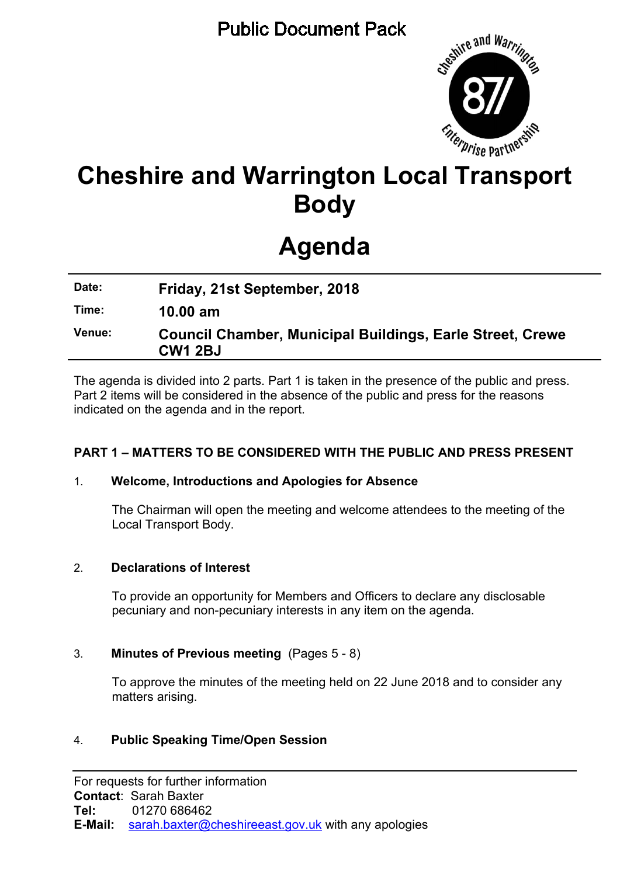## **Public Document Pack**



## **Cheshire and Warrington Local Transport Body**

## **Agenda**

**Date: Friday, 21st September, 2018**

**Time: 10.00 am**

**Venue: Council Chamber, Municipal Buildings, Earle Street, Crewe CW1 2BJ**

The agenda is divided into 2 parts. Part 1 is taken in the presence of the public and press. Part 2 items will be considered in the absence of the public and press for the reasons indicated on the agenda and in the report.

#### **PART 1 – MATTERS TO BE CONSIDERED WITH THE PUBLIC AND PRESS PRESENT**

#### 1. **Welcome, Introductions and Apologies for Absence**

The Chairman will open the meeting and welcome attendees to the meeting of the Local Transport Body.

#### 2. **Declarations of Interest**

To provide an opportunity for Members and Officers to declare any disclosable pecuniary and non-pecuniary interests in any item on the agenda.

#### 3. **Minutes of Previous meeting** (Pages 5 - 8)

To approve the minutes of the meeting held on 22 June 2018 and to consider any matters arising.

#### 4. **Public Speaking Time/Open Session**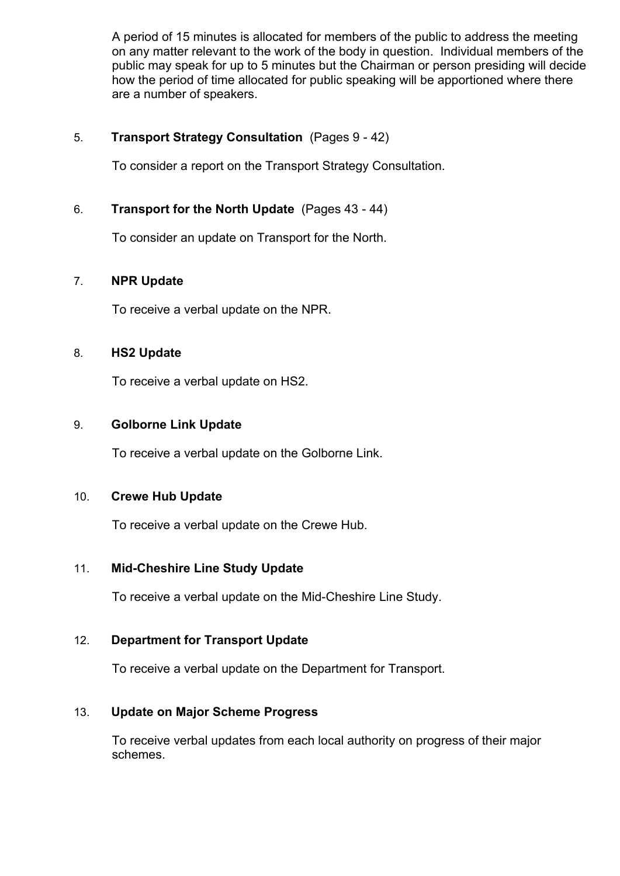A period of 15 minutes is allocated for members of the public to address the meeting on any matter relevant to the work of the body in question. Individual members of the public may speak for up to 5 minutes but the Chairman or person presiding will decide how the period of time allocated for public speaking will be apportioned where there are a number of speakers.

#### 5. **Transport Strategy Consultation** (Pages 9 - 42)

To consider a report on the Transport Strategy Consultation.

#### 6. **Transport for the North Update** (Pages 43 - 44)

To consider an update on Transport for the North.

#### 7. **NPR Update**

To receive a verbal update on the NPR.

#### 8. **HS2 Update**

To receive a verbal update on HS2.

#### 9. **Golborne Link Update**

To receive a verbal update on the Golborne Link.

#### 10. **Crewe Hub Update**

To receive a verbal update on the Crewe Hub.

#### 11. **Mid-Cheshire Line Study Update**

To receive a verbal update on the Mid-Cheshire Line Study.

#### 12. **Department for Transport Update**

To receive a verbal update on the Department for Transport.

#### 13. **Update on Major Scheme Progress**

To receive verbal updates from each local authority on progress of their major schemes.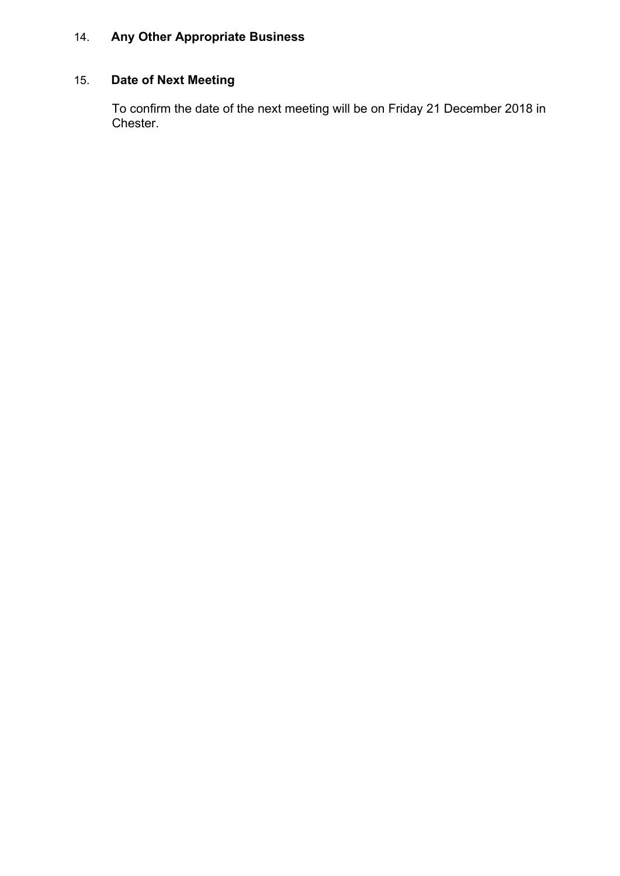### 14. **Any Other Appropriate Business**

### 15. **Date of Next Meeting**

To confirm the date of the next meeting will be on Friday 21 December 2018 in Chester.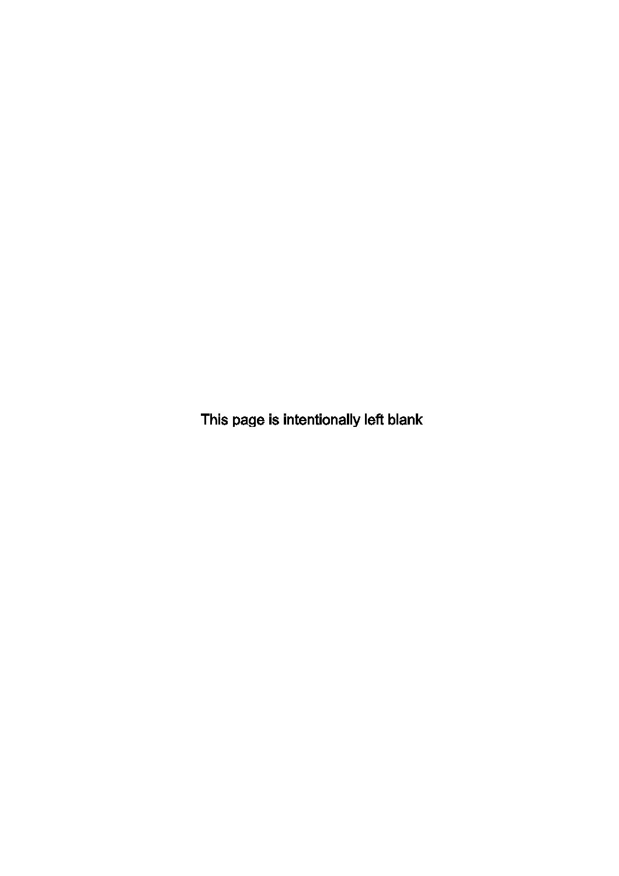This page is intentionally left blank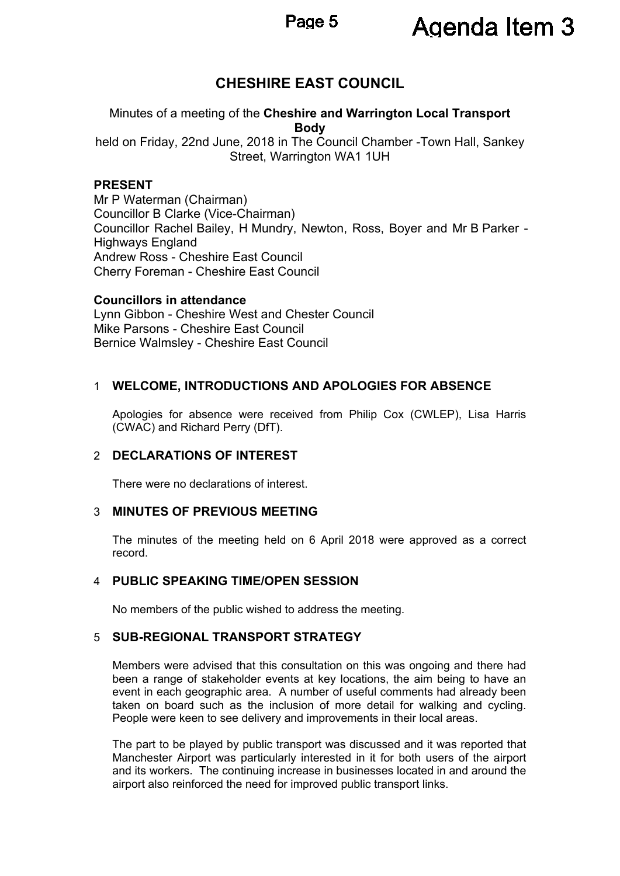## Agenda Item 3

#### **CHESHIRE EAST COUNCIL**

Minutes of a meeting of the **Cheshire and Warrington Local Transport Body** held on Friday, 22nd June, 2018 in The Council Chamber -Town Hall, Sankey Street, Warrington WA1 1UH

#### **PRESENT**

Mr P Waterman (Chairman) Councillor B Clarke (Vice-Chairman) Councillor Rachel Bailey, H Mundry, Newton, Ross, Boyer and Mr B Parker - Highways England Andrew Ross - Cheshire East Council Cherry Foreman - Cheshire East Council

#### **Councillors in attendance**

Lynn Gibbon - Cheshire West and Chester Council Mike Parsons - Cheshire East Council Bernice Walmsley - Cheshire East Council

#### 1 **WELCOME, INTRODUCTIONS AND APOLOGIES FOR ABSENCE**

Apologies for absence were received from Philip Cox (CWLEP), Lisa Harris (CWAC) and Richard Perry (DfT).

#### 2 **DECLARATIONS OF INTEREST**

There were no declarations of interest.

#### 3 **MINUTES OF PREVIOUS MEETING**

The minutes of the meeting held on 6 April 2018 were approved as a correct record.

#### 4 **PUBLIC SPEAKING TIME/OPEN SESSION**

No members of the public wished to address the meeting.

#### 5 **SUB-REGIONAL TRANSPORT STRATEGY**

Members were advised that this consultation on this was ongoing and there had been a range of stakeholder events at key locations, the aim being to have an event in each geographic area. A number of useful comments had already been taken on board such as the inclusion of more detail for walking and cycling. People were keen to see delivery and improvements in their local areas.

The part to be played by public transport was discussed and it was reported that Manchester Airport was particularly interested in it for both users of the airport and its workers. The continuing increase in businesses located in and around the airport also reinforced the need for improved public transport links.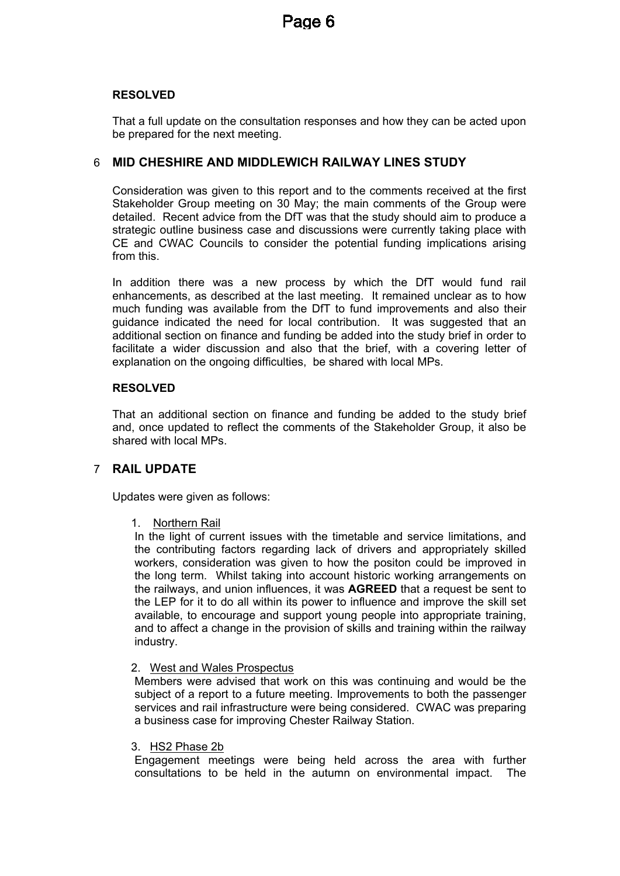#### **RESOLVED**

That a full update on the consultation responses and how they can be acted upon be prepared for the next meeting.

#### 6 **MID CHESHIRE AND MIDDLEWICH RAILWAY LINES STUDY**

Consideration was given to this report and to the comments received at the first Stakeholder Group meeting on 30 May; the main comments of the Group were detailed. Recent advice from the DfT was that the study should aim to produce a strategic outline business case and discussions were currently taking place with CE and CWAC Councils to consider the potential funding implications arising from this.

In addition there was a new process by which the DfT would fund rail enhancements, as described at the last meeting. It remained unclear as to how much funding was available from the DfT to fund improvements and also their guidance indicated the need for local contribution. It was suggested that an additional section on finance and funding be added into the study brief in order to facilitate a wider discussion and also that the brief, with a covering letter of explanation on the ongoing difficulties, be shared with local MPs.

#### **RESOLVED**

That an additional section on finance and funding be added to the study brief and, once updated to reflect the comments of the Stakeholder Group, it also be shared with local MPs.

#### 7 **RAIL UPDATE**

Updates were given as follows:

1. Northern Rail

In the light of current issues with the timetable and service limitations, and the contributing factors regarding lack of drivers and appropriately skilled workers, consideration was given to how the positon could be improved in the long term. Whilst taking into account historic working arrangements on the railways, and union influences, it was **AGREED** that a request be sent to the LEP for it to do all within its power to influence and improve the skill set available, to encourage and support young people into appropriate training, and to affect a change in the provision of skills and training within the railway industry.

#### 2. West and Wales Prospectus

Members were advised that work on this was continuing and would be the subject of a report to a future meeting. Improvements to both the passenger services and rail infrastructure were being considered. CWAC was preparing a business case for improving Chester Railway Station.

#### 3. HS2 Phase 2b

Engagement meetings were being held across the area with further consultations to be held in the autumn on environmental impact. The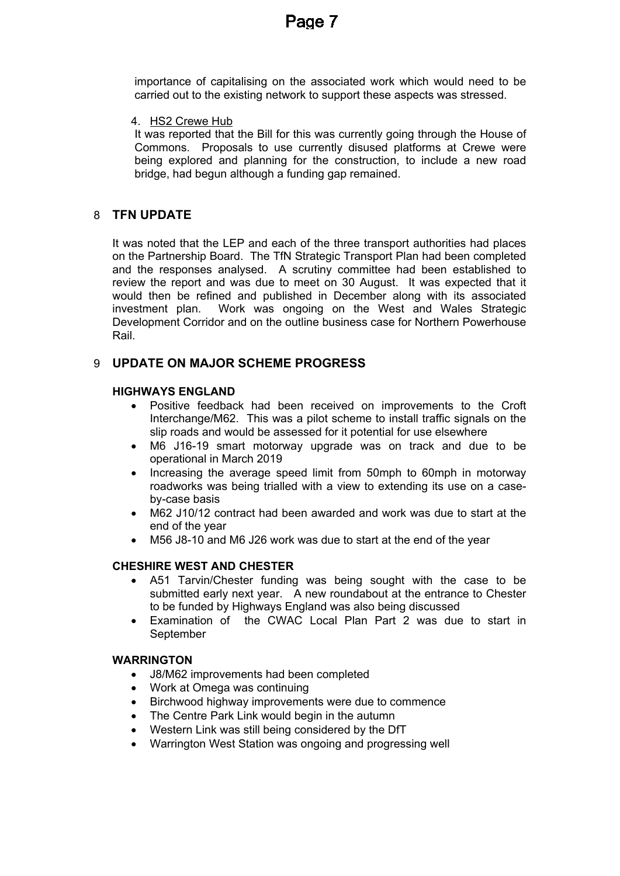### Page 7

importance of capitalising on the associated work which would need to be carried out to the existing network to support these aspects was stressed.

4. HS2 Crewe Hub

It was reported that the Bill for this was currently going through the House of Commons. Proposals to use currently disused platforms at Crewe were being explored and planning for the construction, to include a new road bridge, had begun although a funding gap remained.

#### 8 **TFN UPDATE**

It was noted that the LEP and each of the three transport authorities had places on the Partnership Board. The TfN Strategic Transport Plan had been completed and the responses analysed. A scrutiny committee had been established to review the report and was due to meet on 30 August. It was expected that it would then be refined and published in December along with its associated investment plan. Work was ongoing on the West and Wales Strategic Development Corridor and on the outline business case for Northern Powerhouse Rail.

#### 9 **UPDATE ON MAJOR SCHEME PROGRESS**

#### **HIGHWAYS ENGLAND**

- Positive feedback had been received on improvements to the Croft Interchange/M62. This was a pilot scheme to install traffic signals on the slip roads and would be assessed for it potential for use elsewhere
- M6 J16-19 smart motorway upgrade was on track and due to be operational in March 2019
- Increasing the average speed limit from 50mph to 60mph in motorway roadworks was being trialled with a view to extending its use on a caseby-case basis
- M62 J10/12 contract had been awarded and work was due to start at the end of the year
- M56 J8-10 and M6 J26 work was due to start at the end of the year

#### **CHESHIRE WEST AND CHESTER**

- A51 Tarvin/Chester funding was being sought with the case to be submitted early next year. A new roundabout at the entrance to Chester to be funded by Highways England was also being discussed
- Examination of the CWAC Local Plan Part 2 was due to start in September

#### **WARRINGTON**

- J8/M62 improvements had been completed
- Work at Omega was continuing
- Birchwood highway improvements were due to commence
- The Centre Park Link would begin in the autumn
- Western Link was still being considered by the DfT
- Warrington West Station was ongoing and progressing well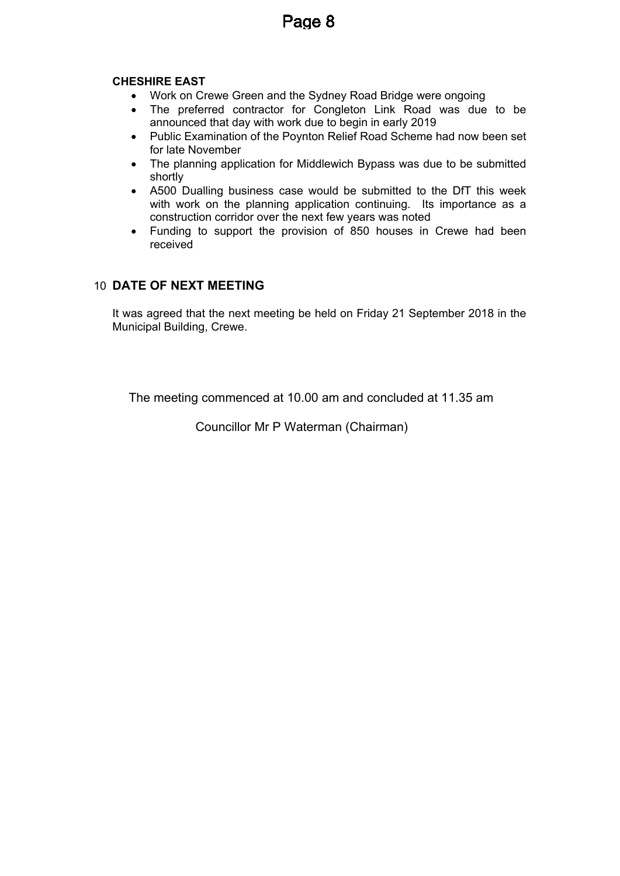#### **CHESHIRE EAST**

- Work on Crewe Green and the Sydney Road Bridge were ongoing
- The preferred contractor for Congleton Link Road was due to be announced that day with work due to begin in early 2019
- Public Examination of the Poynton Relief Road Scheme had now been set for late November
- The planning application for Middlewich Bypass was due to be submitted shortly
- A500 Dualling business case would be submitted to the DfT this week with work on the planning application continuing. Its importance as a construction corridor over the next few years was noted
- Funding to support the provision of 850 houses in Crewe had been received

#### 10 **DATE OF NEXT MEETING**

It was agreed that the next meeting be held on Friday 21 September 2018 in the Municipal Building, Crewe.

The meeting commenced at 10.00 am and concluded at 11.35 am

Councillor Mr P Waterman (Chairman)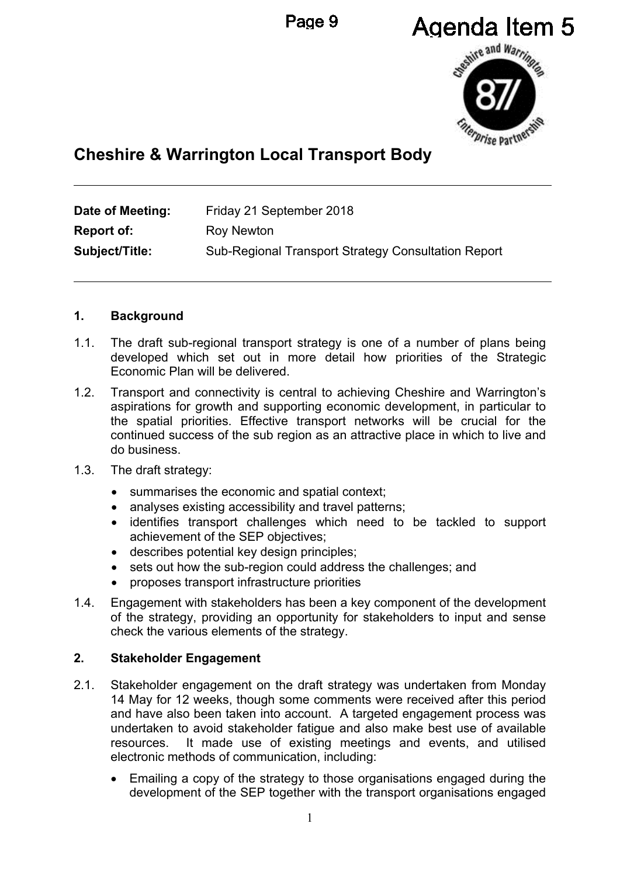## Agenda Item 5



## **Cheshire & Warrington Local Transport Body**

| Date of Meeting:      | Friday 21 September 2018                                   |
|-----------------------|------------------------------------------------------------|
| Report of:            | Roy Newton                                                 |
| <b>Subject/Title:</b> | <b>Sub-Regional Transport Strategy Consultation Report</b> |

#### **1. Background**

- 1.1. The draft sub-regional transport strategy is one of a number of plans being developed which set out in more detail how priorities of the Strategic Economic Plan will be delivered.
- 1.2. Transport and connectivity is central to achieving Cheshire and Warrington's aspirations for growth and supporting economic development, in particular to the spatial priorities. Effective transport networks will be crucial for the continued success of the sub region as an attractive place in which to live and do business.
- 1.3. The draft strategy:
	- summarises the economic and spatial context;
	- analyses existing accessibility and travel patterns:
	- identifies transport challenges which need to be tackled to support achievement of the SEP objectives;
	- describes potential key design principles;
	- sets out how the sub-region could address the challenges; and
	- proposes transport infrastructure priorities
- 1.4. Engagement with stakeholders has been a key component of the development of the strategy, providing an opportunity for stakeholders to input and sense check the various elements of the strategy.

#### **2. Stakeholder Engagement**

- 2.1. Stakeholder engagement on the draft strategy was undertaken from Monday 14 May for 12 weeks, though some comments were received after this period and have also been taken into account. A targeted engagement process was undertaken to avoid stakeholder fatigue and also make best use of available resources. It made use of existing meetings and events, and utilised electronic methods of communication, including:
	- Emailing a copy of the strategy to those organisations engaged during the development of the SEP together with the transport organisations engaged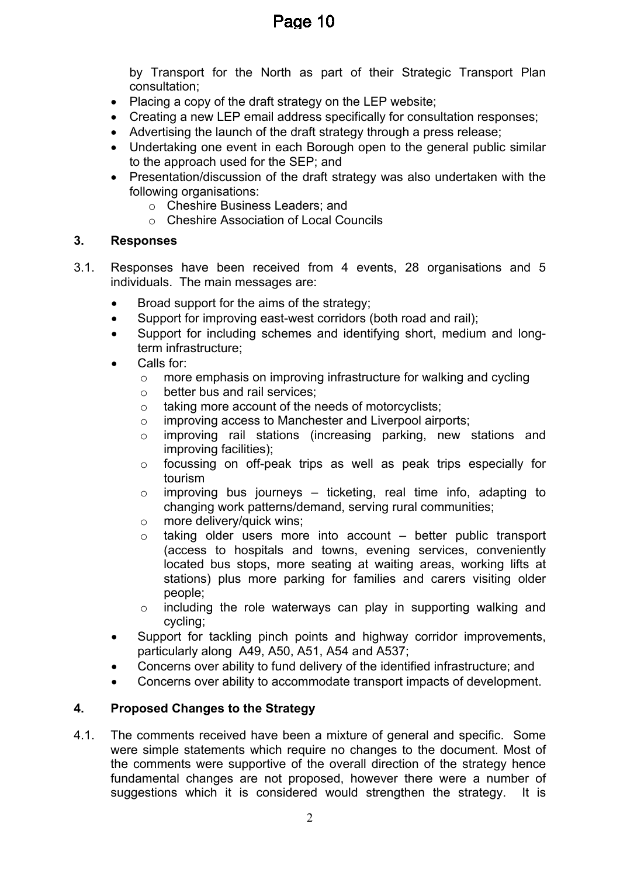by Transport for the North as part of their Strategic Transport Plan consultation;

- Placing a copy of the draft strategy on the LEP website;
- Creating a new LEP email address specifically for consultation responses;
- Advertising the launch of the draft strategy through a press release;
- Undertaking one event in each Borough open to the general public similar to the approach used for the SEP; and
- Presentation/discussion of the draft strategy was also undertaken with the following organisations:
	- o Cheshire Business Leaders; and
	- o Cheshire Association of Local Councils

#### **3. Responses**

- 3.1. Responses have been received from 4 events, 28 organisations and 5 individuals. The main messages are:
	- Broad support for the aims of the strategy;
	- Support for improving east-west corridors (both road and rail);
	- Support for including schemes and identifying short, medium and longterm infrastructure;
	- Calls for:
		- o more emphasis on improving infrastructure for walking and cycling
		- o better bus and rail services;
		- o taking more account of the needs of motorcyclists;
		- o improving access to Manchester and Liverpool airports;
		- o improving rail stations (increasing parking, new stations and improving facilities);
		- o focussing on off-peak trips as well as peak trips especially for tourism
		- $\circ$  improving bus journeys ticketing, real time info, adapting to changing work patterns/demand, serving rural communities;
		- o more delivery/quick wins;
		- $\circ$  taking older users more into account better public transport (access to hospitals and towns, evening services, conveniently located bus stops, more seating at waiting areas, working lifts at stations) plus more parking for families and carers visiting older people;
		- o including the role waterways can play in supporting walking and cycling;
	- Support for tackling pinch points and highway corridor improvements, particularly along A49, A50, A51, A54 and A537;
	- Concerns over ability to fund delivery of the identified infrastructure; and
	- Concerns over ability to accommodate transport impacts of development.

#### **4. Proposed Changes to the Strategy**

4.1. The comments received have been a mixture of general and specific. Some were simple statements which require no changes to the document. Most of the comments were supportive of the overall direction of the strategy hence fundamental changes are not proposed, however there were a number of suggestions which it is considered would strengthen the strategy. It is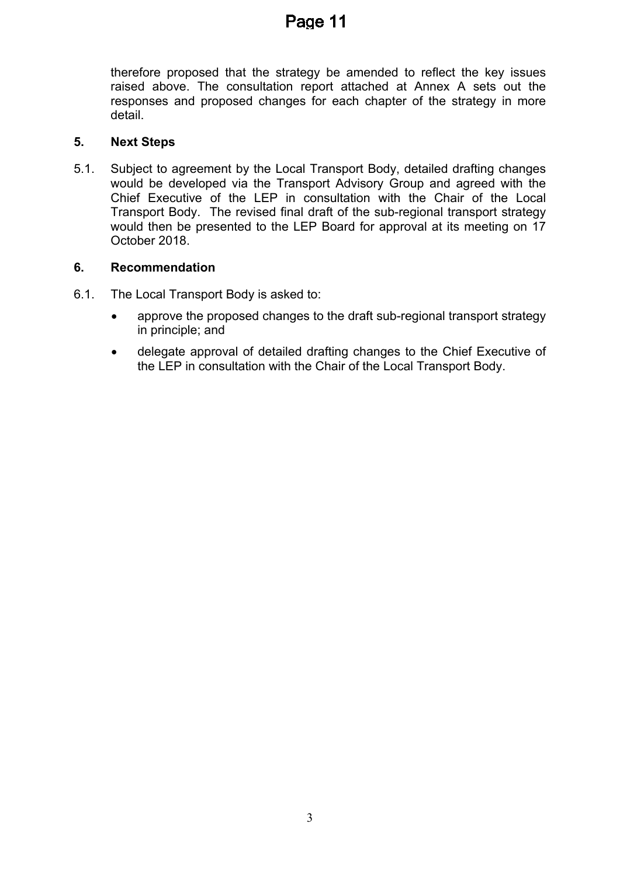### Page 11

therefore proposed that the strategy be amended to reflect the key issues raised above. The consultation report attached at Annex A sets out the responses and proposed changes for each chapter of the strategy in more detail.

#### **5. Next Steps**

5.1. Subject to agreement by the Local Transport Body, detailed drafting changes would be developed via the Transport Advisory Group and agreed with the Chief Executive of the LEP in consultation with the Chair of the Local Transport Body. The revised final draft of the sub-regional transport strategy would then be presented to the LEP Board for approval at its meeting on 17 October 2018.

#### **6. Recommendation**

- 6.1. The Local Transport Body is asked to:
	- approve the proposed changes to the draft sub-regional transport strategy in principle; and
	- delegate approval of detailed drafting changes to the Chief Executive of the LEP in consultation with the Chair of the Local Transport Body.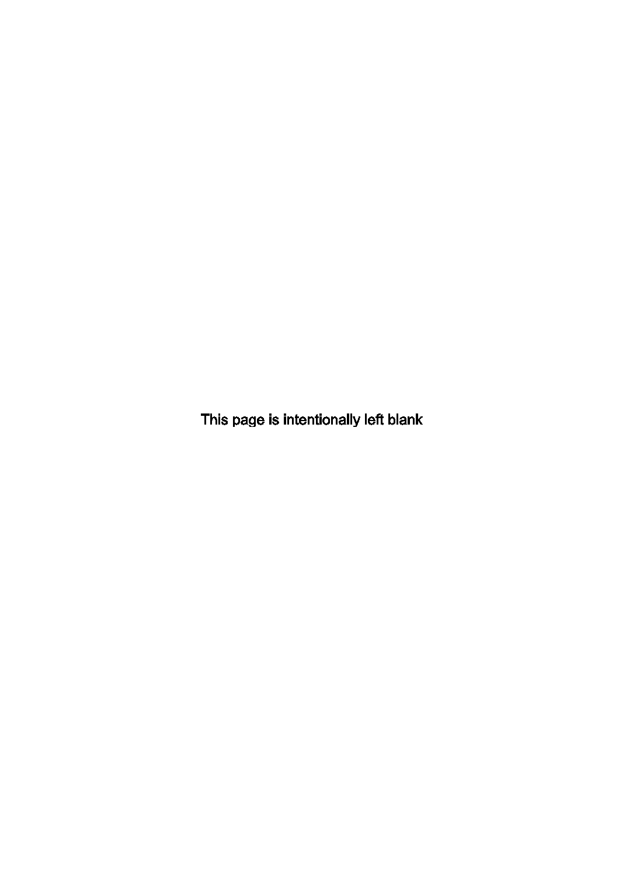This page is intentionally left blank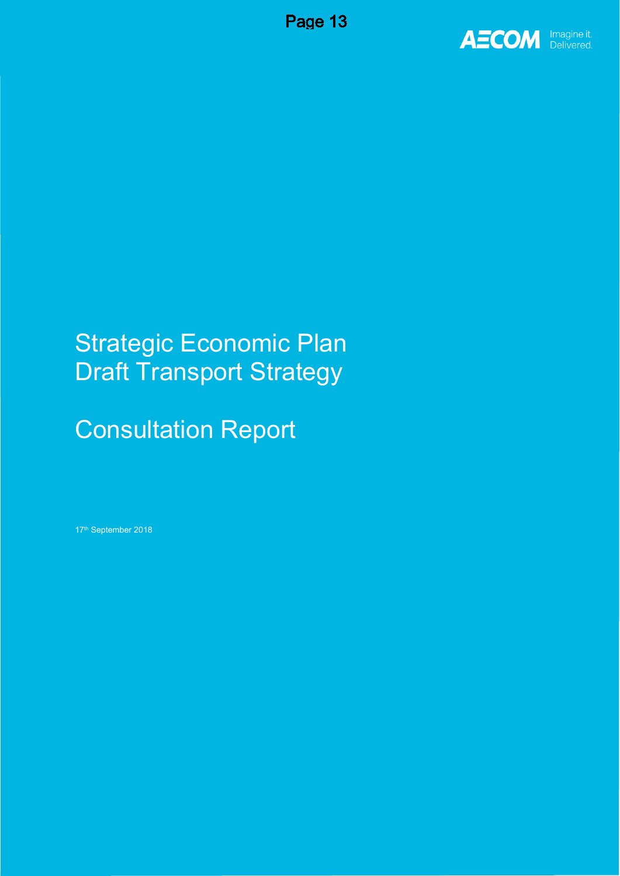

## Strategic [Economic](http://www.871candwep.co.uk/strategic-economic-plan/) Plan Draft Transport Strategy

Consultation Report

17th September 2018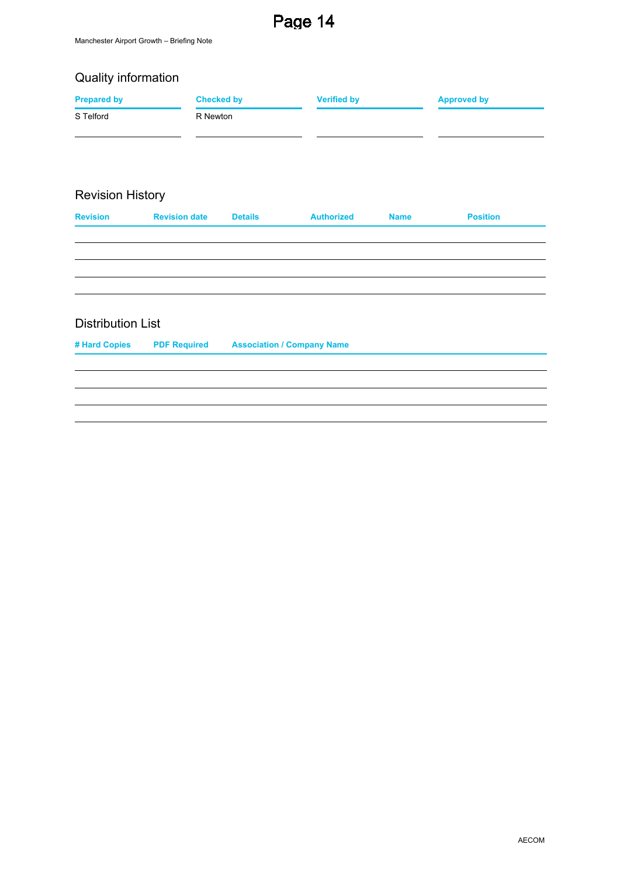## Page 14

### Quality information

| <b>Prepared by</b>       | <b>Checked by</b>    |                | <b>Verified by</b>                |             | <b>Approved by</b> |
|--------------------------|----------------------|----------------|-----------------------------------|-------------|--------------------|
| S Telford                | R Newton             |                |                                   |             |                    |
|                          |                      |                |                                   |             |                    |
| <b>Revision History</b>  |                      |                |                                   |             |                    |
| <b>Revision</b>          | <b>Revision date</b> | <b>Details</b> | <b>Authorized</b>                 | <b>Name</b> | <b>Position</b>    |
|                          |                      |                |                                   |             |                    |
|                          |                      |                |                                   |             |                    |
|                          |                      |                |                                   |             |                    |
|                          |                      |                |                                   |             |                    |
| <b>Distribution List</b> |                      |                |                                   |             |                    |
| # Hard Copies            | <b>PDF Required</b>  |                | <b>Association / Company Name</b> |             |                    |
|                          |                      |                |                                   |             |                    |
|                          |                      |                |                                   |             |                    |
|                          |                      |                |                                   |             |                    |
|                          |                      |                |                                   |             |                    |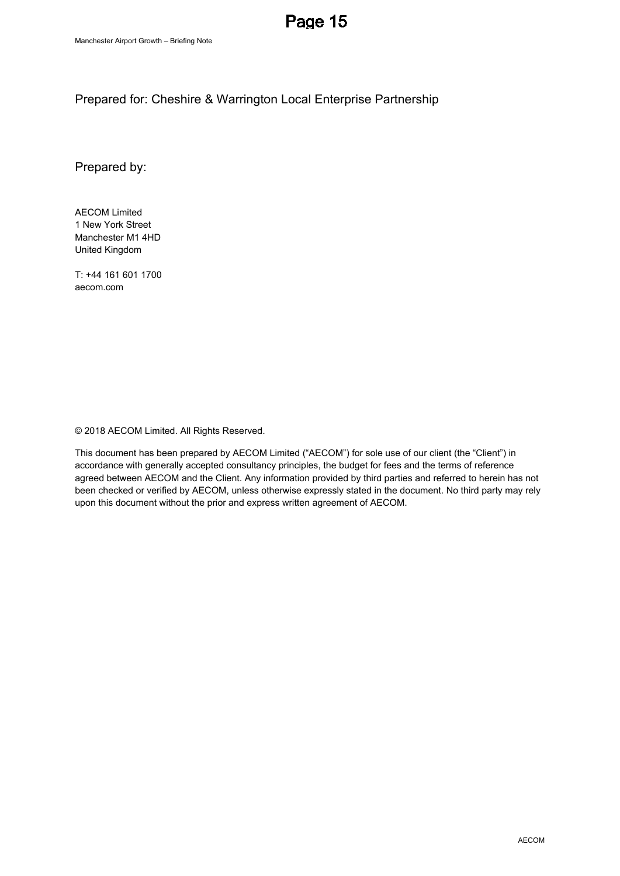#### Prepared for: Cheshire & Warrington Local Enterprise Partnership

Prepared by:

AECOM Limited 1 New York Street Manchester M1 4HD United Kingdom

T: +44 161 601 1700 aecom.com

© 2018 AECOM Limited. All Rights Reserved.

This document has been prepared by AECOM Limited ("AECOM") for sole use of our client (the "Client") in accordance with generally accepted consultancy principles, the budget for fees and the terms of reference agreed between AECOM and the Client. Any information provided by third parties and referred to herein has not been checked or verified by AECOM, unless otherwise expressly stated in the document. No third party may rely upon this document without the prior and express written agreement of AECOM.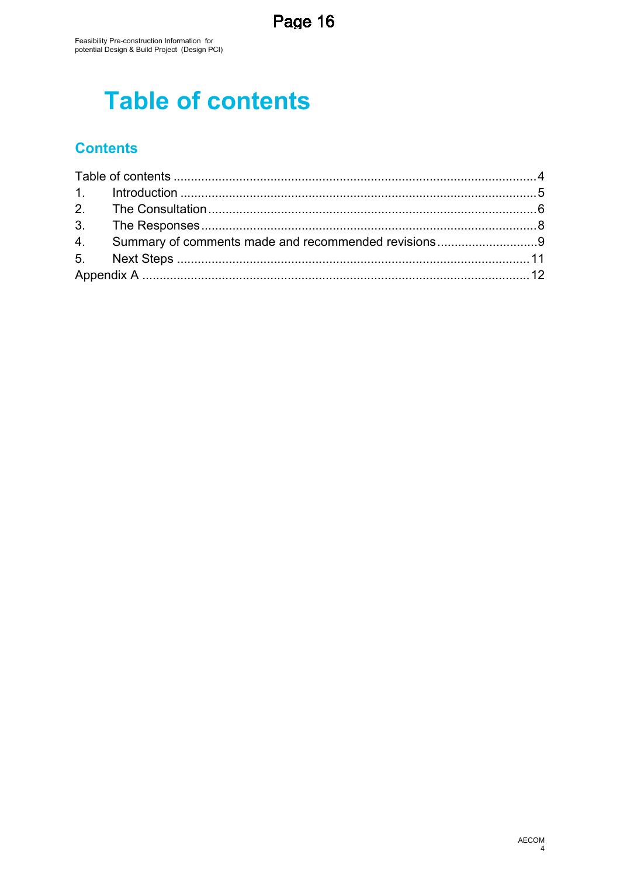# <span id="page-15-0"></span>**Table of contents**

### **Contents**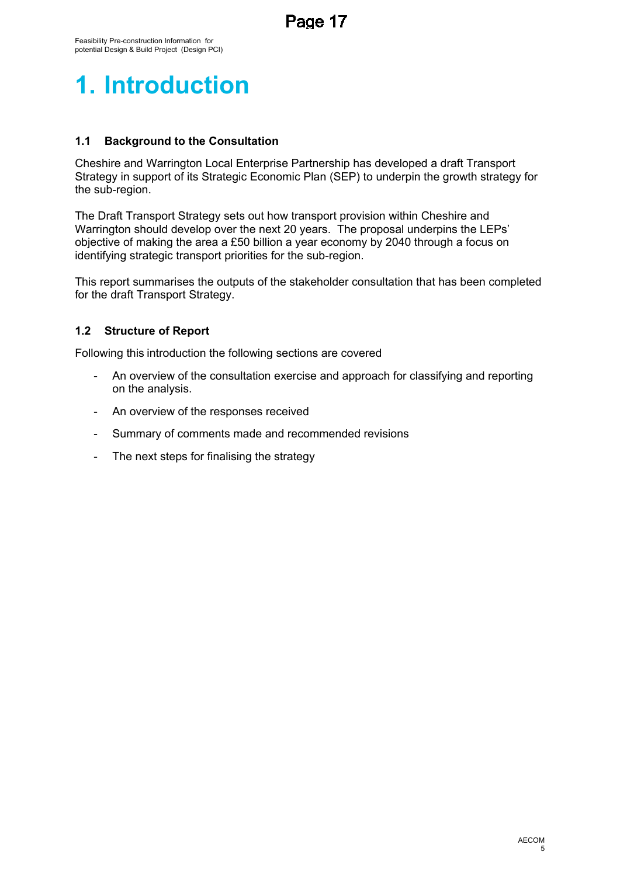# <span id="page-16-0"></span>**1. Introduction**

#### **1.1 Background to the Consultation**

Cheshire and Warrington Local Enterprise Partnership has developed a draft Transport Strategy in support of its Strategic Economic Plan (SEP) to underpin the growth strategy for the sub-region.

The Draft Transport Strategy sets out how transport provision within Cheshire and Warrington should develop over the next 20 years. The proposal underpins the LEPs' objective of making the area a £50 billion a year economy by 2040 through a focus on identifying strategic transport priorities for the sub-region.

This report summarises the outputs of the stakeholder consultation that has been completed for the draft Transport Strategy.

#### **1.2 Structure of Report**

Following this introduction the following sections are covered

- An overview of the consultation exercise and approach for classifying and reporting on the analysis.
- An overview of the responses received
- Summary of comments made and recommended revisions
- The next steps for finalising the strategy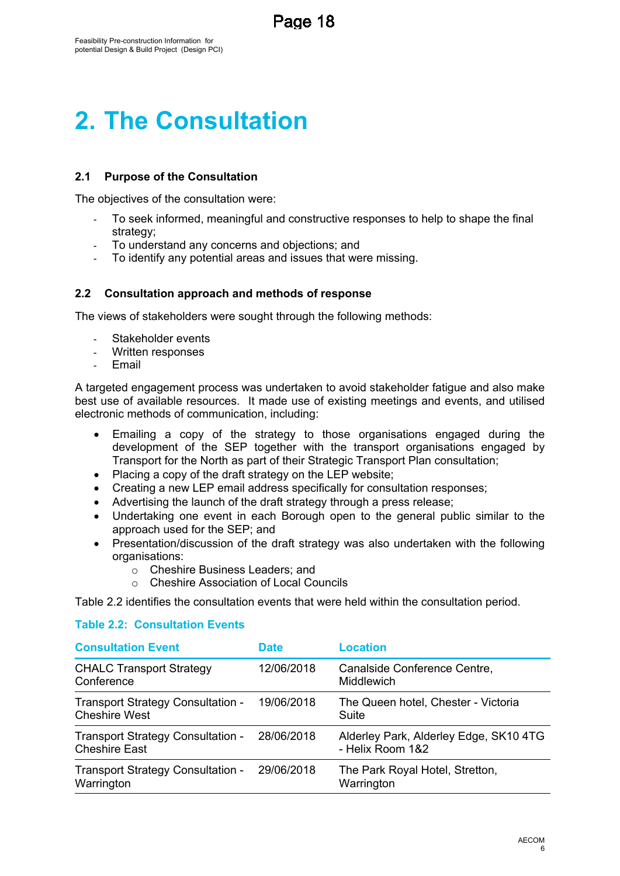## <span id="page-17-0"></span>**2. The Consultation**

#### **2.1 Purpose of the Consultation**

The objectives of the consultation were:

- To seek informed, meaningful and constructive responses to help to shape the final strategy;
- To understand any concerns and objections; and
- To identify any potential areas and issues that were missing.

#### **2.2 Consultation approach and methods of response**

The views of stakeholders were sought through the following methods:

- Stakeholder events
- Written responses
- **Email**

A targeted engagement process was undertaken to avoid stakeholder fatigue and also make best use of available resources. It made use of existing meetings and events, and utilised electronic methods of communication, including:

- Emailing a copy of the strategy to those organisations engaged during the development of the SEP together with the transport organisations engaged by Transport for the North as part of their Strategic Transport Plan consultation;
- Placing a copy of the draft strategy on the LEP website;
- Creating a new LEP email address specifically for consultation responses;
- Advertising the launch of the draft strategy through a press release;
- Undertaking one event in each Borough open to the general public similar to the approach used for the SEP; and
- Presentation/discussion of the draft strategy was also undertaken with the following organisations:
	- o Cheshire Business Leaders; and
	- o Cheshire Association of Local Councils

Table 2.2 identifies the consultation events that were held within the consultation period.

#### **Table 2.2: Consultation Events**

| <b>Consultation Event</b>                                            | <b>Date</b> | Location                                                   |
|----------------------------------------------------------------------|-------------|------------------------------------------------------------|
| <b>CHALC Transport Strategy</b><br>Conference                        | 12/06/2018  | Canalside Conference Centre,<br>Middlewich                 |
| Transport Strategy Consultation -<br><b>Cheshire West</b>            | 19/06/2018  | The Queen hotel, Chester - Victoria<br>Suite               |
| Transport Strategy Consultation - 28/06/2018<br><b>Cheshire East</b> |             | Alderley Park, Alderley Edge, SK10 4TG<br>- Helix Room 1&2 |
| <b>Transport Strategy Consultation -</b><br>Warrington               | 29/06/2018  | The Park Royal Hotel, Stretton,<br>Warrington              |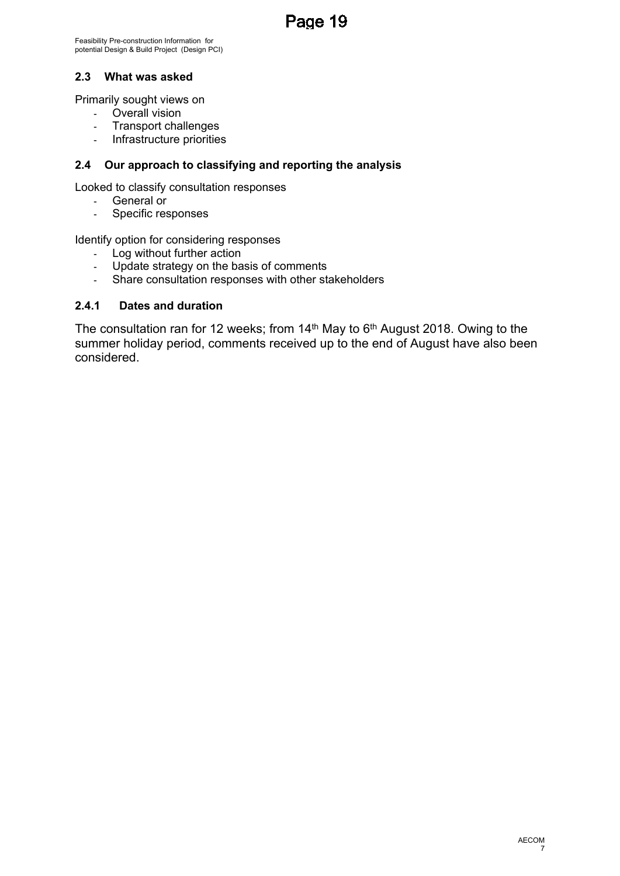Feasibility Pre-construction Information for potential Design & Build Project (Design PCI)

#### **2.3 What was asked**

Primarily sought views on

- Overall vision
- Transport challenges
- Infrastructure priorities

#### **2.4 Our approach to classifying and reporting the analysis**

Looked to classify consultation responses

- General or
- Specific responses

Identify option for considering responses

- Log without further action
- Update strategy on the basis of comments
- Share consultation responses with other stakeholders

#### **2.4.1 Dates and duration**

The consultation ran for 12 weeks; from 14<sup>th</sup> May to 6<sup>th</sup> August 2018. Owing to the summer holiday period, comments received up to the end of August have also been considered.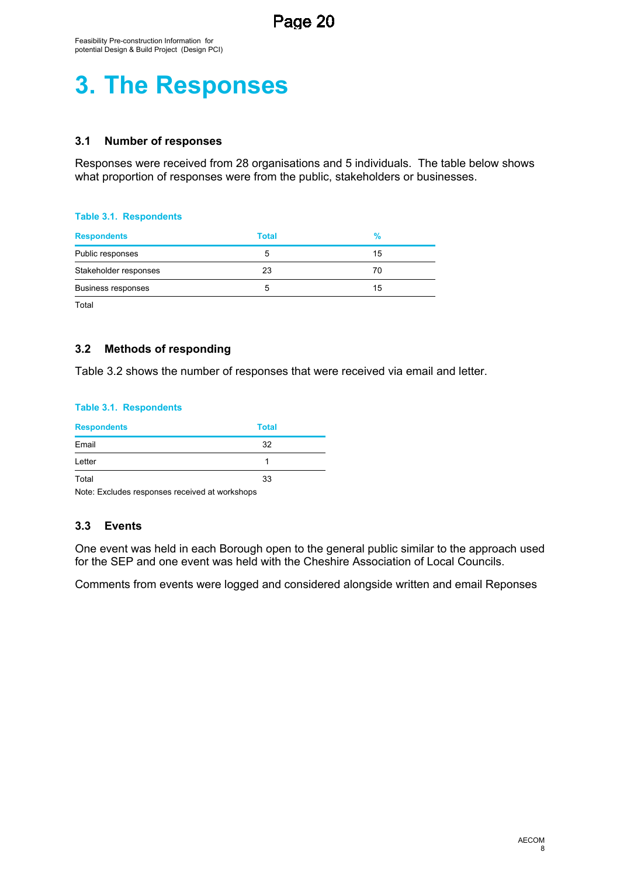# <span id="page-19-0"></span>**3. The Responses**

#### **3.1 Number of responses**

Responses were received from 28 organisations and 5 individuals. The table below shows what proportion of responses were from the public, stakeholders or businesses.

#### **Table 3.1. Respondents**

| <b>Respondents</b>    | <b>Total</b> |    |
|-----------------------|--------------|----|
| Public responses      |              | 15 |
| Stakeholder responses | 23           | 70 |
| Business responses    |              | 15 |
|                       |              |    |

Total

#### **3.2 Methods of responding**

Table 3.2 shows the number of responses that were received via email and letter.

#### **Table 3.1. Respondents**

| <b>Respondents</b> | <b>Total</b> |
|--------------------|--------------|
| Email              | 32           |
| Letter             |              |
| Total              | 33           |
|                    |              |

Note: Excludes responses received at workshops

#### **3.3 Events**

One event was held in each Borough open to the general public similar to the approach used for the SEP and one event was held with the Cheshire Association of Local Councils.

Comments from events were logged and considered alongside written and email Reponses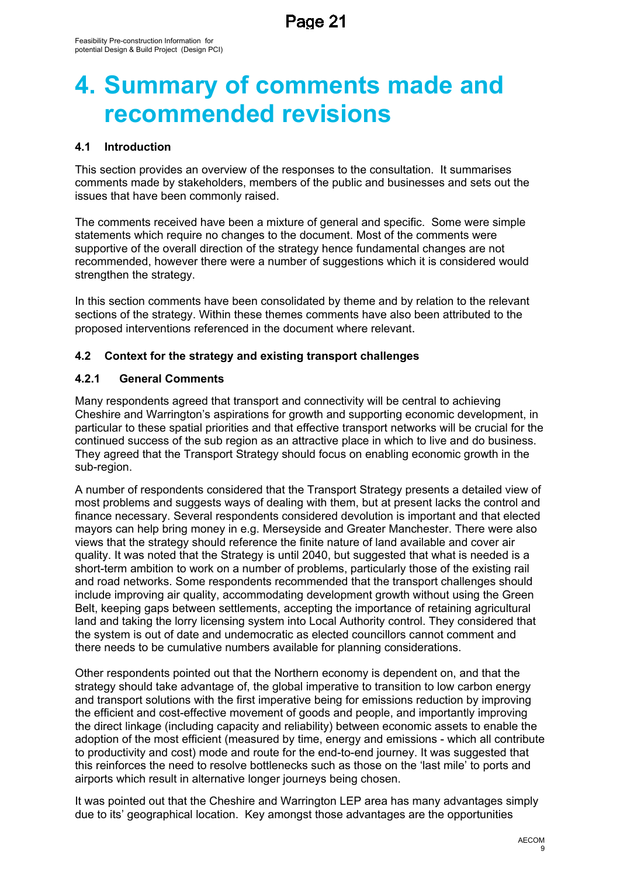## <span id="page-20-0"></span>**4. Summary of comments made and recommended revisions**

#### **4.1 Introduction**

This section provides an overview of the responses to the consultation. It summarises comments made by stakeholders, members of the public and businesses and sets out the issues that have been commonly raised.

The comments received have been a mixture of general and specific. Some were simple statements which require no changes to the document. Most of the comments were supportive of the overall direction of the strategy hence fundamental changes are not recommended, however there were a number of suggestions which it is considered would strengthen the strategy.

In this section comments have been consolidated by theme and by relation to the relevant sections of the strategy. Within these themes comments have also been attributed to the proposed interventions referenced in the document where relevant.

#### **4.2 Context for the strategy and existing transport challenges**

#### **4.2.1 General Comments**

Many respondents agreed that transport and connectivity will be central to achieving Cheshire and Warrington's aspirations for growth and supporting economic development, in particular to these spatial priorities and that effective transport networks will be crucial for the continued success of the sub region as an attractive place in which to live and do business. They agreed that the Transport Strategy should focus on enabling economic growth in the sub-region.

A number of respondents considered that the Transport Strategy presents a detailed view of most problems and suggests ways of dealing with them, but at present lacks the control and finance necessary. Several respondents considered devolution is important and that elected mayors can help bring money in e.g. Merseyside and Greater Manchester. There were also views that the strategy should reference the finite nature of land available and cover air quality. It was noted that the Strategy is until 2040, but suggested that what is needed is a short-term ambition to work on a number of problems, particularly those of the existing rail and road networks. Some respondents recommended that the transport challenges should include improving air quality, accommodating development growth without using the Green Belt, keeping gaps between settlements, accepting the importance of retaining agricultural land and taking the lorry licensing system into Local Authority control. They considered that the system is out of date and undemocratic as elected councillors cannot comment and there needs to be cumulative numbers available for planning considerations.

Other respondents pointed out that the Northern economy is dependent on, and that the strategy should take advantage of, the global imperative to transition to low carbon energy and transport solutions with the first imperative being for emissions reduction by improving the efficient and cost-effective movement of goods and people, and importantly improving the direct linkage (including capacity and reliability) between economic assets to enable the adoption of the most efficient (measured by time, energy and emissions - which all contribute to productivity and cost) mode and route for the end-to-end journey. It was suggested that this reinforces the need to resolve bottlenecks such as those on the 'last mile' to ports and airports which result in alternative longer journeys being chosen.

It was pointed out that the Cheshire and Warrington LEP area has many advantages simply due to its' geographical location. Key amongst those advantages are the opportunities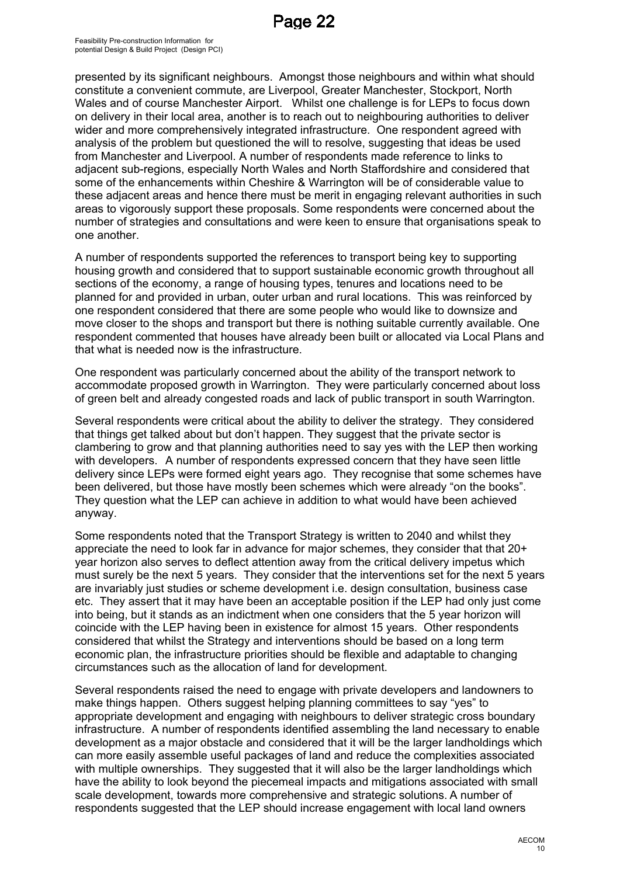presented by its significant neighbours. Amongst those neighbours and within what should constitute a convenient commute, are Liverpool, Greater Manchester, Stockport, North Wales and of course Manchester Airport. Whilst one challenge is for LEPs to focus down on delivery in their local area, another is to reach out to neighbouring authorities to deliver wider and more comprehensively integrated infrastructure. One respondent agreed with analysis of the problem but questioned the will to resolve, suggesting that ideas be used from Manchester and Liverpool. A number of respondents made reference to links to adjacent sub-regions, especially North Wales and North Staffordshire and considered that some of the enhancements within Cheshire & Warrington will be of considerable value to these adjacent areas and hence there must be merit in engaging relevant authorities in such areas to vigorously support these proposals. Some respondents were concerned about the number of strategies and consultations and were keen to ensure that organisations speak to one another.

A number of respondents supported the references to transport being key to supporting housing growth and considered that to support sustainable economic growth throughout all sections of the economy, a range of housing types, tenures and locations need to be planned for and provided in urban, outer urban and rural locations. This was reinforced by one respondent considered that there are some people who would like to downsize and move closer to the shops and transport but there is nothing suitable currently available. One respondent commented that houses have already been built or allocated via Local Plans and that what is needed now is the infrastructure.

One respondent was particularly concerned about the ability of the transport network to accommodate proposed growth in Warrington. They were particularly concerned about loss of green belt and already congested roads and lack of public transport in south Warrington.

Several respondents were critical about the ability to deliver the strategy. They considered that things get talked about but don't happen. They suggest that the private sector is clambering to grow and that planning authorities need to say yes with the LEP then working with developers. A number of respondents expressed concern that they have seen little delivery since LEPs were formed eight years ago. They recognise that some schemes have been delivered, but those have mostly been schemes which were already "on the books". They question what the LEP can achieve in addition to what would have been achieved anyway.

Some respondents noted that the Transport Strategy is written to 2040 and whilst they appreciate the need to look far in advance for major schemes, they consider that that 20+ year horizon also serves to deflect attention away from the critical delivery impetus which must surely be the next 5 years. They consider that the interventions set for the next 5 years are invariably just studies or scheme development i.e. design consultation, business case etc. They assert that it may have been an acceptable position if the LEP had only just come into being, but it stands as an indictment when one considers that the 5 year horizon will coincide with the LEP having been in existence for almost 15 years. Other respondents considered that whilst the Strategy and interventions should be based on a long term economic plan, the infrastructure priorities should be flexible and adaptable to changing circumstances such as the allocation of land for development.

Several respondents raised the need to engage with private developers and landowners to make things happen. Others suggest helping planning committees to say "yes" to appropriate development and engaging with neighbours to deliver strategic cross boundary infrastructure. A number of respondents identified assembling the land necessary to enable development as a major obstacle and considered that it will be the larger landholdings which can more easily assemble useful packages of land and reduce the complexities associated with multiple ownerships. They suggested that it will also be the larger landholdings which have the ability to look beyond the piecemeal impacts and mitigations associated with small scale development, towards more comprehensive and strategic solutions. A number of respondents suggested that the LEP should increase engagement with local land owners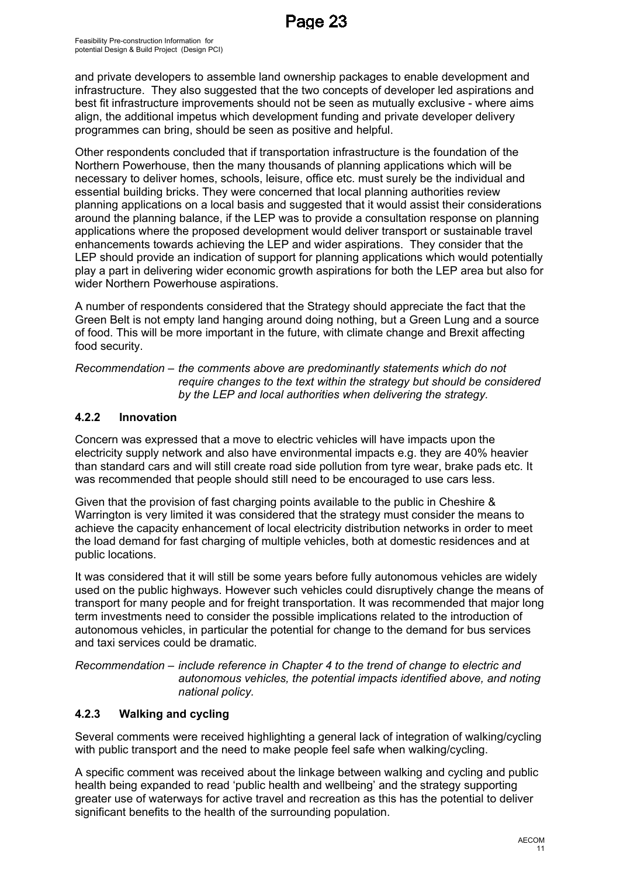and private developers to assemble land ownership packages to enable development and infrastructure. They also suggested that the two concepts of developer led aspirations and best fit infrastructure improvements should not be seen as mutually exclusive - where aims align, the additional impetus which development funding and private developer delivery programmes can bring, should be seen as positive and helpful.

Other respondents concluded that if transportation infrastructure is the foundation of the Northern Powerhouse, then the many thousands of planning applications which will be necessary to deliver homes, schools, leisure, office etc. must surely be the individual and essential building bricks. They were concerned that local planning authorities review planning applications on a local basis and suggested that it would assist their considerations around the planning balance, if the LEP was to provide a consultation response on planning applications where the proposed development would deliver transport or sustainable travel enhancements towards achieving the LEP and wider aspirations. They consider that the LEP should provide an indication of support for planning applications which would potentially play a part in delivering wider economic growth aspirations for both the LEP area but also for wider Northern Powerhouse aspirations.

A number of respondents considered that the Strategy should appreciate the fact that the Green Belt is not empty land hanging around doing nothing, but a Green Lung and a source of food. This will be more important in the future, with climate change and Brexit affecting food security.

*Recommendation – the comments above are predominantly statements which do not require changes to the text within the strategy but should be considered by the LEP and local authorities when delivering the strategy.*

#### **4.2.2 Innovation**

Concern was expressed that a move to electric vehicles will have impacts upon the electricity supply network and also have environmental impacts e.g. they are 40% heavier than standard cars and will still create road side pollution from tyre wear, brake pads etc. It was recommended that people should still need to be encouraged to use cars less.

Given that the provision of fast charging points available to the public in Cheshire & Warrington is very limited it was considered that the strategy must consider the means to achieve the capacity enhancement of local electricity distribution networks in order to meet the load demand for fast charging of multiple vehicles, both at domestic residences and at public locations.

It was considered that it will still be some years before fully autonomous vehicles are widely used on the public highways. However such vehicles could disruptively change the means of transport for many people and for freight transportation. It was recommended that major long term investments need to consider the possible implications related to the introduction of autonomous vehicles, in particular the potential for change to the demand for bus services and taxi services could be dramatic.

*Recommendation – include reference in Chapter 4 to the trend of change to electric and autonomous vehicles, the potential impacts identified above, and noting national policy.*

#### **4.2.3 Walking and cycling**

Several comments were received highlighting a general lack of integration of walking/cycling with public transport and the need to make people feel safe when walking/cycling.

A specific comment was received about the linkage between walking and cycling and public health being expanded to read 'public health and wellbeing' and the strategy supporting greater use of waterways for active travel and recreation as this has the potential to deliver significant benefits to the health of the surrounding population.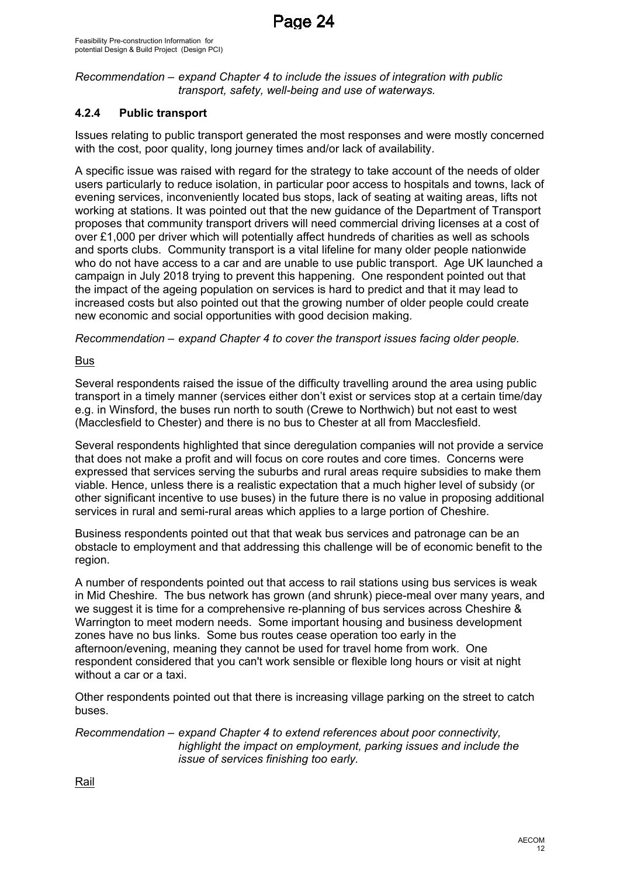*Recommendation – expand Chapter 4 to include the issues of integration with public transport, safety, well-being and use of waterways.*

#### **4.2.4 Public transport**

Issues relating to public transport generated the most responses and were mostly concerned with the cost, poor quality, long journey times and/or lack of availability.

A specific issue was raised with regard for the strategy to take account of the needs of older users particularly to reduce isolation, in particular poor access to hospitals and towns, lack of evening services, inconveniently located bus stops, lack of seating at waiting areas, lifts not working at stations. It was pointed out that the new guidance of the Department of Transport proposes that community transport drivers will need commercial driving licenses at a cost of over £1,000 per driver which will potentially affect hundreds of charities as well as schools and sports clubs. Community transport is a vital lifeline for many older people nationwide who do not have access to a car and are unable to use public transport. Age UK launched a campaign in July 2018 trying to prevent this happening. One respondent pointed out that the impact of the ageing population on services is hard to predict and that it may lead to increased costs but also pointed out that the growing number of older people could create new economic and social opportunities with good decision making.

*Recommendation – expand Chapter 4 to cover the transport issues facing older people.*

Bus

Several respondents raised the issue of the difficulty travelling around the area using public transport in a timely manner (services either don't exist or services stop at a certain time/day e.g. in Winsford, the buses run north to south (Crewe to Northwich) but not east to west (Macclesfield to Chester) and there is no bus to Chester at all from Macclesfield.

Several respondents highlighted that since deregulation companies will not provide a service that does not make a profit and will focus on core routes and core times. Concerns were expressed that services serving the suburbs and rural areas require subsidies to make them viable. Hence, unless there is a realistic expectation that a much higher level of subsidy (or other significant incentive to use buses) in the future there is no value in proposing additional services in rural and semi-rural areas which applies to a large portion of Cheshire.

Business respondents pointed out that that weak bus services and patronage can be an obstacle to employment and that addressing this challenge will be of economic benefit to the region.

A number of respondents pointed out that access to rail stations using bus services is weak in Mid Cheshire. The bus network has grown (and shrunk) piece-meal over many years, and we suggest it is time for a comprehensive re-planning of bus services across Cheshire & Warrington to meet modern needs. Some important housing and business development zones have no bus links. Some bus routes cease operation too early in the afternoon/evening, meaning they cannot be used for travel home from work. One respondent considered that you can't work sensible or flexible long hours or visit at night without a car or a taxi.

Other respondents pointed out that there is increasing village parking on the street to catch buses.

*Recommendation – expand Chapter 4 to extend references about poor connectivity, highlight the impact on employment, parking issues and include the issue of services finishing too early.*

Rail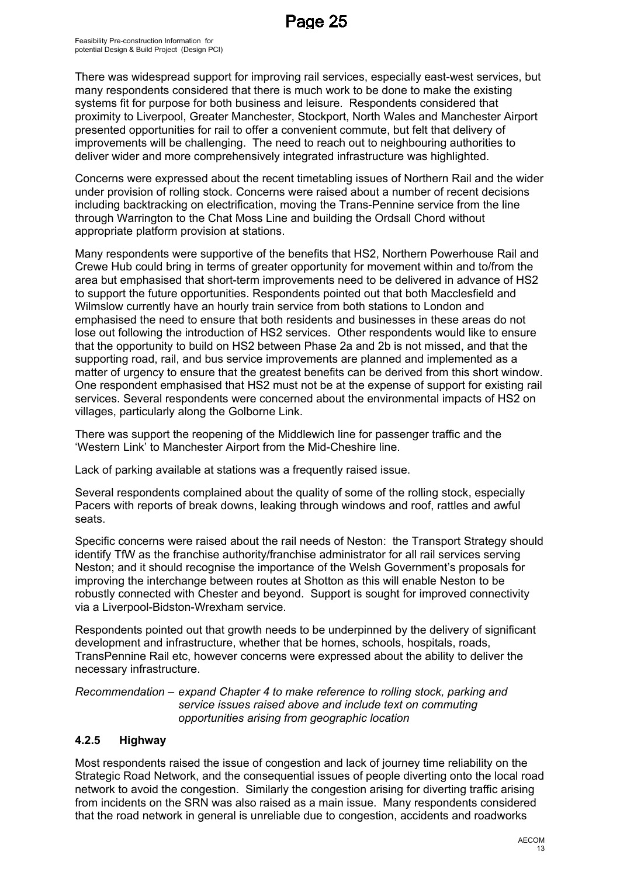There was widespread support for improving rail services, especially east-west services, but many respondents considered that there is much work to be done to make the existing systems fit for purpose for both business and leisure. Respondents considered that proximity to Liverpool, Greater Manchester, Stockport, North Wales and Manchester Airport presented opportunities for rail to offer a convenient commute, but felt that delivery of improvements will be challenging. The need to reach out to neighbouring authorities to deliver wider and more comprehensively integrated infrastructure was highlighted.

Concerns were expressed about the recent timetabling issues of Northern Rail and the wider under provision of rolling stock. Concerns were raised about a number of recent decisions including backtracking on electrification, moving the Trans-Pennine service from the line through Warrington to the Chat Moss Line and building the Ordsall Chord without appropriate platform provision at stations.

Many respondents were supportive of the benefits that HS2, Northern Powerhouse Rail and Crewe Hub could bring in terms of greater opportunity for movement within and to/from the area but emphasised that short-term improvements need to be delivered in advance of HS2 to support the future opportunities. Respondents pointed out that both Macclesfield and Wilmslow currently have an hourly train service from both stations to London and emphasised the need to ensure that both residents and businesses in these areas do not lose out following the introduction of HS2 services. Other respondents would like to ensure that the opportunity to build on HS2 between Phase 2a and 2b is not missed, and that the supporting road, rail, and bus service improvements are planned and implemented as a matter of urgency to ensure that the greatest benefits can be derived from this short window. One respondent emphasised that HS2 must not be at the expense of support for existing rail services. Several respondents were concerned about the environmental impacts of HS2 on villages, particularly along the Golborne Link.

There was support the reopening of the Middlewich line for passenger traffic and the 'Western Link' to Manchester Airport from the Mid-Cheshire line.

Lack of parking available at stations was a frequently raised issue.

Several respondents complained about the quality of some of the rolling stock, especially Pacers with reports of break downs, leaking through windows and roof, rattles and awful seats.

Specific concerns were raised about the rail needs of Neston: the Transport Strategy should identify TfW as the franchise authority/franchise administrator for all rail services serving Neston; and it should recognise the importance of the Welsh Government's proposals for improving the interchange between routes at Shotton as this will enable Neston to be robustly connected with Chester and beyond. Support is sought for improved connectivity via a Liverpool-Bidston-Wrexham service.

Respondents pointed out that growth needs to be underpinned by the delivery of significant development and infrastructure, whether that be homes, schools, hospitals, roads, TransPennine Rail etc, however concerns were expressed about the ability to deliver the necessary infrastructure.

*Recommendation – expand Chapter 4 to make reference to rolling stock, parking and service issues raised above and include text on commuting opportunities arising from geographic location*

#### **4.2.5 Highway**

Most respondents raised the issue of congestion and lack of journey time reliability on the Strategic Road Network, and the consequential issues of people diverting onto the local road network to avoid the congestion. Similarly the congestion arising for diverting traffic arising from incidents on the SRN was also raised as a main issue. Many respondents considered that the road network in general is unreliable due to congestion, accidents and roadworks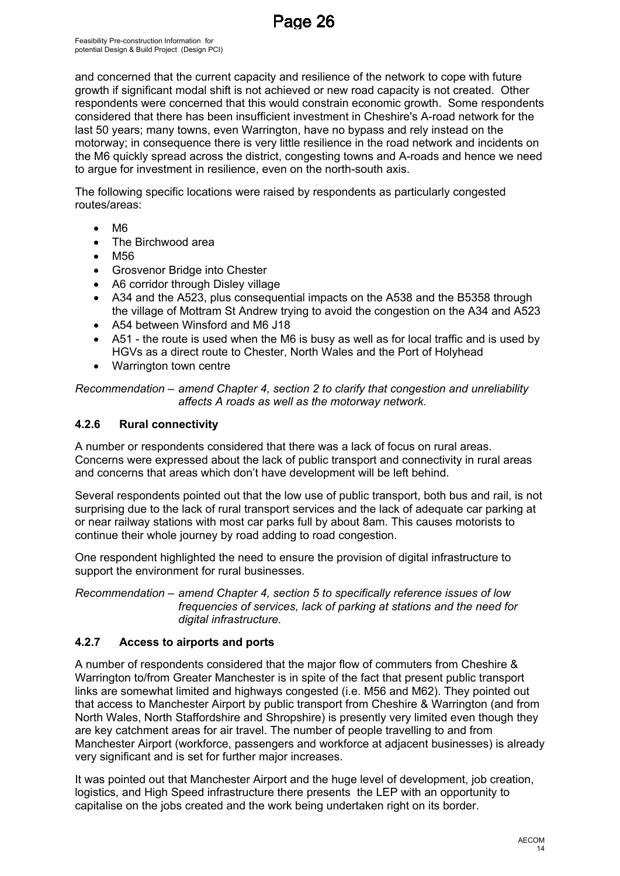and concerned that the current capacity and resilience of the network to cope with future growth if significant modal shift is not achieved or new road capacity is not created. Other respondents were concerned that this would constrain economic growth. Some respondents considered that there has been insufficient investment in Cheshire's A-road network for the last 50 years; many towns, even Warrington, have no bypass and rely instead on the motorway; in consequence there is very little resilience in the road network and incidents on the M6 quickly spread across the district, congesting towns and A-roads and hence we need to argue for investment in resilience, even on the north-south axis.

The following specific locations were raised by respondents as particularly congested routes/areas:

- $\bullet$  M<sub>6</sub>
- The Birchwood area
- M<sub>56</sub>
- Grosvenor Bridge into Chester
- A6 corridor through Disley village
- A34 and the A523, plus consequential impacts on the A538 and the B5358 through the village of Mottram St Andrew trying to avoid the congestion on the A34 and A523
- A54 between Winsford and M6 J18
- A51 the route is used when the M6 is busy as well as for local traffic and is used by HGVs as a direct route to Chester, North Wales and the Port of Holyhead
- Warrington town centre

*Recommendation – amend Chapter 4, section 2 to clarify that congestion and unreliability affects A roads as well as the motorway network.*

#### **4.2.6 Rural connectivity**

A number or respondents considered that there was a lack of focus on rural areas. Concerns were expressed about the lack of public transport and connectivity in rural areas and concerns that areas which don't have development will be left behind.

Several respondents pointed out that the low use of public transport, both bus and rail, is not surprising due to the lack of rural transport services and the lack of adequate car parking at or near railway stations with most car parks full by about 8am. This causes motorists to continue their whole journey by road adding to road congestion.

One respondent highlighted the need to ensure the provision of digital infrastructure to support the environment for rural businesses.

*Recommendation – amend Chapter 4, section 5 to specifically reference issues of low frequencies of services, lack of parking at stations and the need for digital infrastructure.*

#### **4.2.7 Access to airports and ports**

A number of respondents considered that the major flow of commuters from Cheshire & Warrington to/from Greater Manchester is in spite of the fact that present public transport links are somewhat limited and highways congested (i.e. M56 and M62). They pointed out that access to Manchester Airport by public transport from Cheshire & Warrington (and from North Wales, North Staffordshire and Shropshire) is presently very limited even though they are key catchment areas for air travel. The number of people travelling to and from Manchester Airport (workforce, passengers and workforce at adjacent businesses) is already very significant and is set for further major increases.

It was pointed out that Manchester Airport and the huge level of development, job creation, logistics, and High Speed infrastructure there presents the LEP with an opportunity to capitalise on the jobs created and the work being undertaken right on its border.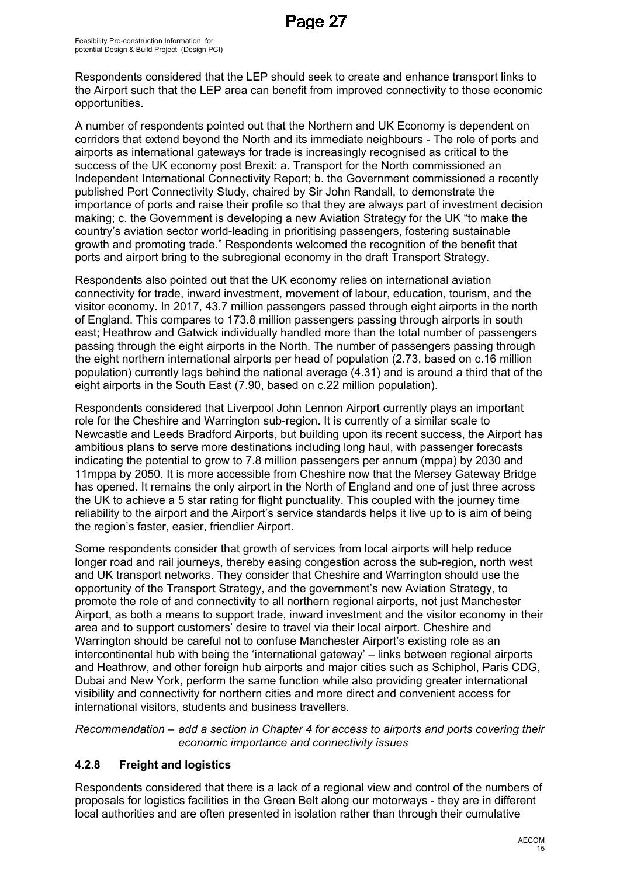Respondents considered that the LEP should seek to create and enhance transport links to the Airport such that the LEP area can benefit from improved connectivity to those economic opportunities.

A number of respondents pointed out that the Northern and UK Economy is dependent on corridors that extend beyond the North and its immediate neighbours - The role of ports and airports as international gateways for trade is increasingly recognised as critical to the success of the UK economy post Brexit: a. Transport for the North commissioned an Independent International Connectivity Report; b. the Government commissioned a recently published Port Connectivity Study, chaired by Sir John Randall, to demonstrate the importance of ports and raise their profile so that they are always part of investment decision making; c. the Government is developing a new Aviation Strategy for the UK "to make the country's aviation sector world-leading in prioritising passengers, fostering sustainable growth and promoting trade." Respondents welcomed the recognition of the benefit that ports and airport bring to the subregional economy in the draft Transport Strategy.

Respondents also pointed out that the UK economy relies on international aviation connectivity for trade, inward investment, movement of labour, education, tourism, and the visitor economy. In 2017, 43.7 million passengers passed through eight airports in the north of England. This compares to 173.8 million passengers passing through airports in south east; Heathrow and Gatwick individually handled more than the total number of passengers passing through the eight airports in the North. The number of passengers passing through the eight northern international airports per head of population (2.73, based on c.16 million population) currently lags behind the national average (4.31) and is around a third that of the eight airports in the South East (7.90, based on c.22 million population).

Respondents considered that Liverpool John Lennon Airport currently plays an important role for the Cheshire and Warrington sub-region. It is currently of a similar scale to Newcastle and Leeds Bradford Airports, but building upon its recent success, the Airport has ambitious plans to serve more destinations including long haul, with passenger forecasts indicating the potential to grow to 7.8 million passengers per annum (mppa) by 2030 and 11mppa by 2050. It is more accessible from Cheshire now that the Mersey Gateway Bridge has opened. It remains the only airport in the North of England and one of just three across the UK to achieve a 5 star rating for flight punctuality. This coupled with the journey time reliability to the airport and the Airport's service standards helps it live up to is aim of being the region's faster, easier, friendlier Airport.

Some respondents consider that growth of services from local airports will help reduce longer road and rail journeys, thereby easing congestion across the sub-region, north west and UK transport networks. They consider that Cheshire and Warrington should use the opportunity of the Transport Strategy, and the government's new Aviation Strategy, to promote the role of and connectivity to all northern regional airports, not just Manchester Airport, as both a means to support trade, inward investment and the visitor economy in their area and to support customers' desire to travel via their local airport. Cheshire and Warrington should be careful not to confuse Manchester Airport's existing role as an intercontinental hub with being the 'international gateway' – links between regional airports and Heathrow, and other foreign hub airports and major cities such as Schiphol, Paris CDG, Dubai and New York, perform the same function while also providing greater international visibility and connectivity for northern cities and more direct and convenient access for international visitors, students and business travellers.

*Recommendation – add a section in Chapter 4 for access to airports and ports covering their economic importance and connectivity issues*

#### **4.2.8 Freight and logistics**

Respondents considered that there is a lack of a regional view and control of the numbers of proposals for logistics facilities in the Green Belt along our motorways - they are in different local authorities and are often presented in isolation rather than through their cumulative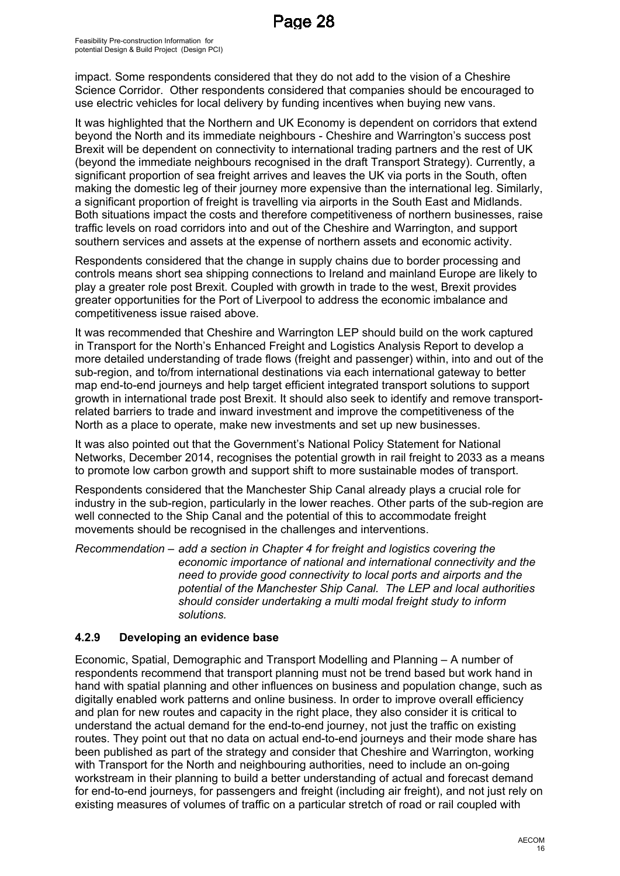impact. Some respondents considered that they do not add to the vision of a Cheshire Science Corridor. Other respondents considered that companies should be encouraged to use electric vehicles for local delivery by funding incentives when buying new vans.

It was highlighted that the Northern and UK Economy is dependent on corridors that extend beyond the North and its immediate neighbours - Cheshire and Warrington's success post Brexit will be dependent on connectivity to international trading partners and the rest of UK (beyond the immediate neighbours recognised in the draft Transport Strategy). Currently, a significant proportion of sea freight arrives and leaves the UK via ports in the South, often making the domestic leg of their journey more expensive than the international leg. Similarly, a significant proportion of freight is travelling via airports in the South East and Midlands. Both situations impact the costs and therefore competitiveness of northern businesses, raise traffic levels on road corridors into and out of the Cheshire and Warrington, and support southern services and assets at the expense of northern assets and economic activity.

Respondents considered that the change in supply chains due to border processing and controls means short sea shipping connections to Ireland and mainland Europe are likely to play a greater role post Brexit. Coupled with growth in trade to the west, Brexit provides greater opportunities for the Port of Liverpool to address the economic imbalance and competitiveness issue raised above.

It was recommended that Cheshire and Warrington LEP should build on the work captured in Transport for the North's Enhanced Freight and Logistics Analysis Report to develop a more detailed understanding of trade flows (freight and passenger) within, into and out of the sub-region, and to/from international destinations via each international gateway to better map end-to-end journeys and help target efficient integrated transport solutions to support growth in international trade post Brexit. It should also seek to identify and remove transportrelated barriers to trade and inward investment and improve the competitiveness of the North as a place to operate, make new investments and set up new businesses.

It was also pointed out that the Government's National Policy Statement for National Networks, December 2014, recognises the potential growth in rail freight to 2033 as a means to promote low carbon growth and support shift to more sustainable modes of transport.

Respondents considered that the Manchester Ship Canal already plays a crucial role for industry in the sub-region, particularly in the lower reaches. Other parts of the sub-region are well connected to the Ship Canal and the potential of this to accommodate freight movements should be recognised in the challenges and interventions.

*Recommendation – add a section in Chapter 4 for freight and logistics covering the economic importance of national and international connectivity and the need to provide good connectivity to local ports and airports and the potential of the Manchester Ship Canal. The LEP and local authorities should consider undertaking a multi modal freight study to inform solutions.*

#### **4.2.9 Developing an evidence base**

Economic, Spatial, Demographic and Transport Modelling and Planning – A number of respondents recommend that transport planning must not be trend based but work hand in hand with spatial planning and other influences on business and population change, such as digitally enabled work patterns and online business. In order to improve overall efficiency and plan for new routes and capacity in the right place, they also consider it is critical to understand the actual demand for the end-to-end journey, not just the traffic on existing routes. They point out that no data on actual end-to-end journeys and their mode share has been published as part of the strategy and consider that Cheshire and Warrington, working with Transport for the North and neighbouring authorities, need to include an on-going workstream in their planning to build a better understanding of actual and forecast demand for end-to-end journeys, for passengers and freight (including air freight), and not just rely on existing measures of volumes of traffic on a particular stretch of road or rail coupled with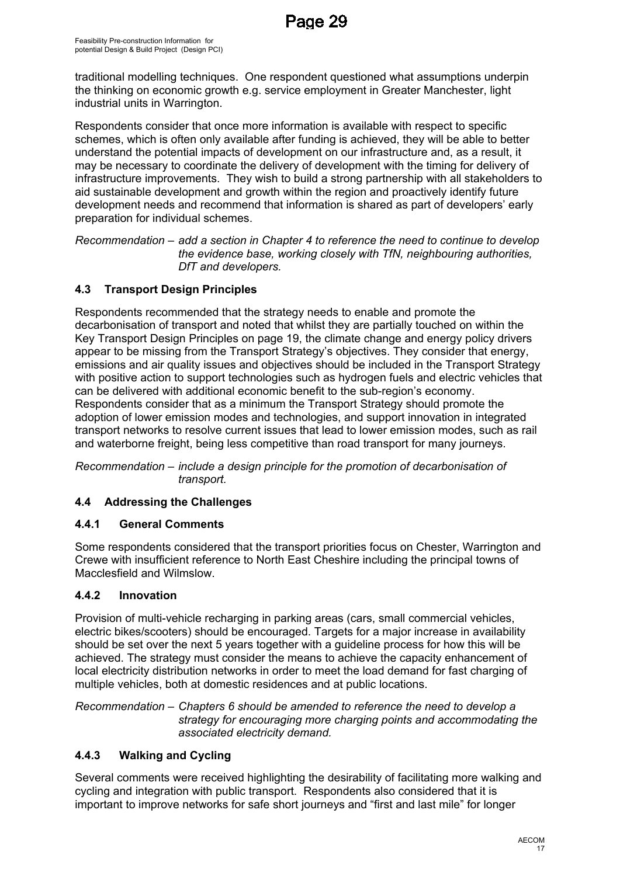traditional modelling techniques. One respondent questioned what assumptions underpin the thinking on economic growth e.g. service employment in Greater Manchester, light industrial units in Warrington.

Respondents consider that once more information is available with respect to specific schemes, which is often only available after funding is achieved, they will be able to better understand the potential impacts of development on our infrastructure and, as a result, it may be necessary to coordinate the delivery of development with the timing for delivery of infrastructure improvements. They wish to build a strong partnership with all stakeholders to aid sustainable development and growth within the region and proactively identify future development needs and recommend that information is shared as part of developers' early preparation for individual schemes.

*Recommendation – add a section in Chapter 4 to reference the need to continue to develop the evidence base, working closely with TfN, neighbouring authorities, DfT and developers.*

#### **4.3 Transport Design Principles**

Respondents recommended that the strategy needs to enable and promote the decarbonisation of transport and noted that whilst they are partially touched on within the Key Transport Design Principles on page 19, the climate change and energy policy drivers appear to be missing from the Transport Strategy's objectives. They consider that energy, emissions and air quality issues and objectives should be included in the Transport Strategy with positive action to support technologies such as hydrogen fuels and electric vehicles that can be delivered with additional economic benefit to the sub-region's economy. Respondents consider that as a minimum the Transport Strategy should promote the adoption of lower emission modes and technologies, and support innovation in integrated transport networks to resolve current issues that lead to lower emission modes, such as rail and waterborne freight, being less competitive than road transport for many journeys.

*Recommendation – include a design principle for the promotion of decarbonisation of transport.*

#### **4.4 Addressing the Challenges**

#### **4.4.1 General Comments**

Some respondents considered that the transport priorities focus on Chester, Warrington and Crewe with insufficient reference to North East Cheshire including the principal towns of Macclesfield and Wilmslow.

#### **4.4.2 Innovation**

Provision of multi-vehicle recharging in parking areas (cars, small commercial vehicles, electric bikes/scooters) should be encouraged. Targets for a major increase in availability should be set over the next 5 years together with a guideline process for how this will be achieved. The strategy must consider the means to achieve the capacity enhancement of local electricity distribution networks in order to meet the load demand for fast charging of multiple vehicles, both at domestic residences and at public locations.

*Recommendation – Chapters 6 should be amended to reference the need to develop a strategy for encouraging more charging points and accommodating the associated electricity demand.*

#### **4.4.3 Walking and Cycling**

Several comments were received highlighting the desirability of facilitating more walking and cycling and integration with public transport. Respondents also considered that it is important to improve networks for safe short journeys and "first and last mile" for longer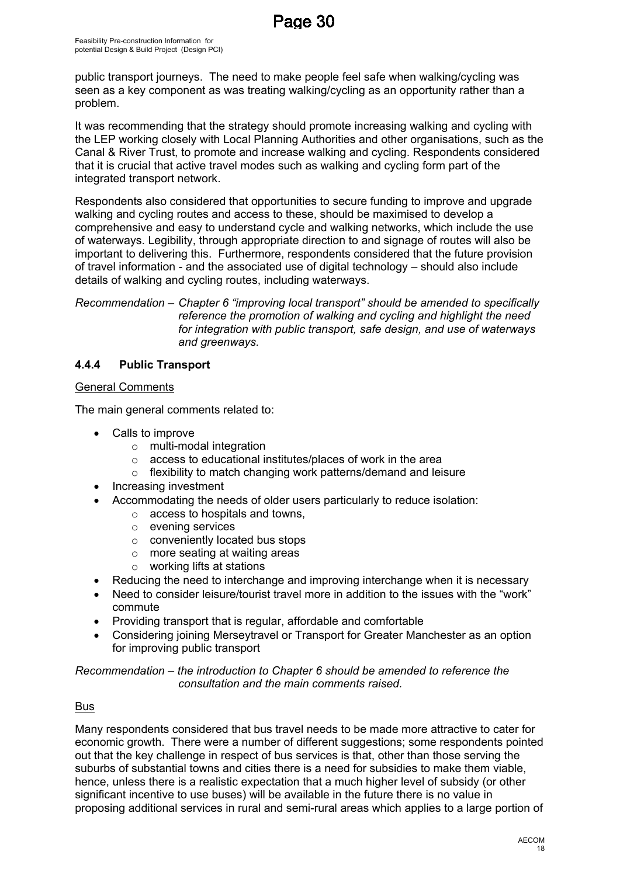public transport journeys. The need to make people feel safe when walking/cycling was seen as a key component as was treating walking/cycling as an opportunity rather than a problem.

It was recommending that the strategy should promote increasing walking and cycling with the LEP working closely with Local Planning Authorities and other organisations, such as the Canal & River Trust, to promote and increase walking and cycling. Respondents considered that it is crucial that active travel modes such as walking and cycling form part of the integrated transport network.

Respondents also considered that opportunities to secure funding to improve and upgrade walking and cycling routes and access to these, should be maximised to develop a comprehensive and easy to understand cycle and walking networks, which include the use of waterways. Legibility, through appropriate direction to and signage of routes will also be important to delivering this. Furthermore, respondents considered that the future provision of travel information - and the associated use of digital technology – should also include details of walking and cycling routes, including waterways.

*Recommendation – Chapter 6 "improving local transport" should be amended to specifically reference the promotion of walking and cycling and highlight the need for integration with public transport, safe design, and use of waterways and greenways.*

#### **4.4.4 Public Transport**

#### General Comments

The main general comments related to:

- Calls to improve
	- o multi-modal integration
	- o access to educational institutes/places of work in the area
	- $\circ$  flexibility to match changing work patterns/demand and leisure
- Increasing investment
- Accommodating the needs of older users particularly to reduce isolation:
	- $\circ$  access to hospitals and towns.
	- o evening services
	- o conveniently located bus stops
	- o more seating at waiting areas
	- o working lifts at stations
- Reducing the need to interchange and improving interchange when it is necessary
- Need to consider leisure/tourist travel more in addition to the issues with the "work" commute
- Providing transport that is regular, affordable and comfortable
- Considering joining Merseytravel or Transport for Greater Manchester as an option for improving public transport

*Recommendation – the introduction to Chapter 6 should be amended to reference the consultation and the main comments raised.*

#### Bus

Many respondents considered that bus travel needs to be made more attractive to cater for economic growth. There were a number of different suggestions; some respondents pointed out that the key challenge in respect of bus services is that, other than those serving the suburbs of substantial towns and cities there is a need for subsidies to make them viable, hence, unless there is a realistic expectation that a much higher level of subsidy (or other significant incentive to use buses) will be available in the future there is no value in proposing additional services in rural and semi-rural areas which applies to a large portion of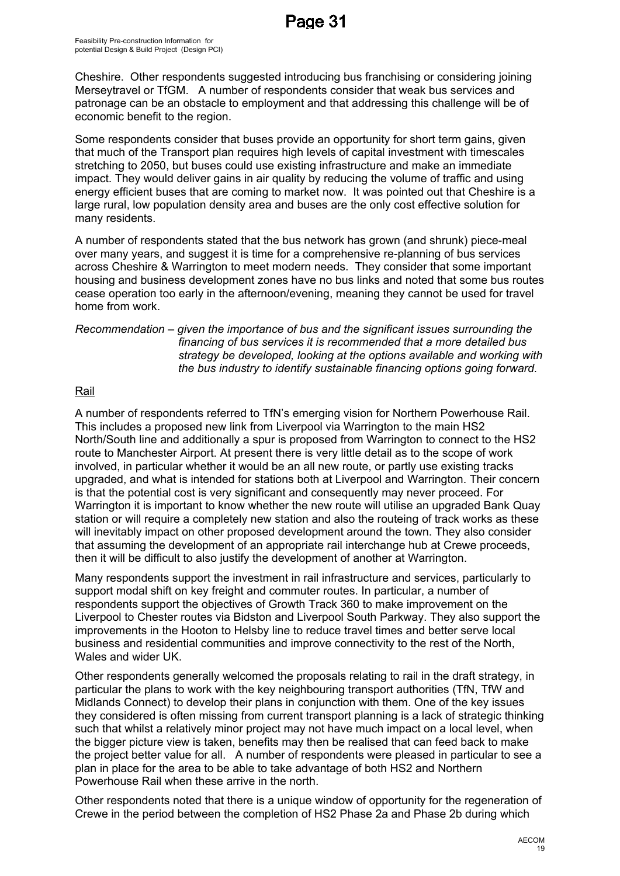Cheshire. Other respondents suggested introducing bus franchising or considering joining Merseytravel or TfGM. A number of respondents consider that weak bus services and patronage can be an obstacle to employment and that addressing this challenge will be of economic benefit to the region.

Some respondents consider that buses provide an opportunity for short term gains, given that much of the Transport plan requires high levels of capital investment with timescales stretching to 2050, but buses could use existing infrastructure and make an immediate impact. They would deliver gains in air quality by reducing the volume of traffic and using energy efficient buses that are coming to market now. It was pointed out that Cheshire is a large rural, low population density area and buses are the only cost effective solution for many residents.

A number of respondents stated that the bus network has grown (and shrunk) piece-meal over many years, and suggest it is time for a comprehensive re-planning of bus services across Cheshire & Warrington to meet modern needs. They consider that some important housing and business development zones have no bus links and noted that some bus routes cease operation too early in the afternoon/evening, meaning they cannot be used for travel home from work.

*Recommendation – given the importance of bus and the significant issues surrounding the financing of bus services it is recommended that a more detailed bus strategy be developed, looking at the options available and working with the bus industry to identify sustainable financing options going forward.*

#### Rail

A number of respondents referred to TfN's emerging vision for Northern Powerhouse Rail. This includes a proposed new link from Liverpool via Warrington to the main HS2 North/South line and additionally a spur is proposed from Warrington to connect to the HS2 route to Manchester Airport. At present there is very little detail as to the scope of work involved, in particular whether it would be an all new route, or partly use existing tracks upgraded, and what is intended for stations both at Liverpool and Warrington. Their concern is that the potential cost is very significant and consequently may never proceed. For Warrington it is important to know whether the new route will utilise an upgraded Bank Quay station or will require a completely new station and also the routeing of track works as these will inevitably impact on other proposed development around the town. They also consider that assuming the development of an appropriate rail interchange hub at Crewe proceeds, then it will be difficult to also justify the development of another at Warrington.

Many respondents support the investment in rail infrastructure and services, particularly to support modal shift on key freight and commuter routes. In particular, a number of respondents support the objectives of Growth Track 360 to make improvement on the Liverpool to Chester routes via Bidston and Liverpool South Parkway. They also support the improvements in the Hooton to Helsby line to reduce travel times and better serve local business and residential communities and improve connectivity to the rest of the North, Wales and wider UK.

Other respondents generally welcomed the proposals relating to rail in the draft strategy, in particular the plans to work with the key neighbouring transport authorities (TfN, TfW and Midlands Connect) to develop their plans in conjunction with them. One of the key issues they considered is often missing from current transport planning is a lack of strategic thinking such that whilst a relatively minor project may not have much impact on a local level, when the bigger picture view is taken, benefits may then be realised that can feed back to make the project better value for all. A number of respondents were pleased in particular to see a plan in place for the area to be able to take advantage of both HS2 and Northern Powerhouse Rail when these arrive in the north.

Other respondents noted that there is a unique window of opportunity for the regeneration of Crewe in the period between the completion of HS2 Phase 2a and Phase 2b during which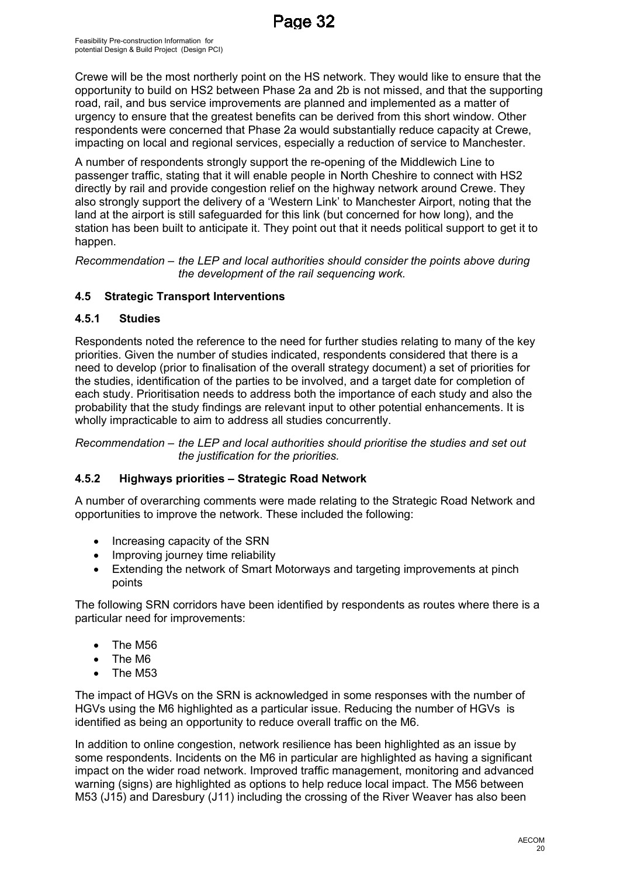Crewe will be the most northerly point on the HS network. They would like to ensure that the opportunity to build on HS2 between Phase 2a and 2b is not missed, and that the supporting road, rail, and bus service improvements are planned and implemented as a matter of urgency to ensure that the greatest benefits can be derived from this short window. Other respondents were concerned that Phase 2a would substantially reduce capacity at Crewe, impacting on local and regional services, especially a reduction of service to Manchester.

A number of respondents strongly support the re-opening of the Middlewich Line to passenger traffic, stating that it will enable people in North Cheshire to connect with HS2 directly by rail and provide congestion relief on the highway network around Crewe. They also strongly support the delivery of a 'Western Link' to Manchester Airport, noting that the land at the airport is still safeguarded for this link (but concerned for how long), and the station has been built to anticipate it. They point out that it needs political support to get it to happen.

*Recommendation – the LEP and local authorities should consider the points above during the development of the rail sequencing work.*

#### **4.5 Strategic Transport Interventions**

#### **4.5.1 Studies**

Respondents noted the reference to the need for further studies relating to many of the key priorities. Given the number of studies indicated, respondents considered that there is a need to develop (prior to finalisation of the overall strategy document) a set of priorities for the studies, identification of the parties to be involved, and a target date for completion of each study. Prioritisation needs to address both the importance of each study and also the probability that the study findings are relevant input to other potential enhancements. It is wholly impracticable to aim to address all studies concurrently.

*Recommendation – the LEP and local authorities should prioritise the studies and set out the justification for the priorities.*

#### **4.5.2 Highways priorities – Strategic Road Network**

A number of overarching comments were made relating to the Strategic Road Network and opportunities to improve the network. These included the following:

- Increasing capacity of the SRN
- Improving journey time reliability
- Extending the network of Smart Motorways and targeting improvements at pinch points

The following SRN corridors have been identified by respondents as routes where there is a particular need for improvements:

- The M56
- The M6
- The M53

The impact of HGVs on the SRN is acknowledged in some responses with the number of HGVs using the M6 highlighted as a particular issue. Reducing the number of HGVs is identified as being an opportunity to reduce overall traffic on the M6.

In addition to online congestion, network resilience has been highlighted as an issue by some respondents. Incidents on the M6 in particular are highlighted as having a significant impact on the wider road network. Improved traffic management, monitoring and advanced warning (signs) are highlighted as options to help reduce local impact. The M56 between M53 (J15) and Daresbury (J11) including the crossing of the River Weaver has also been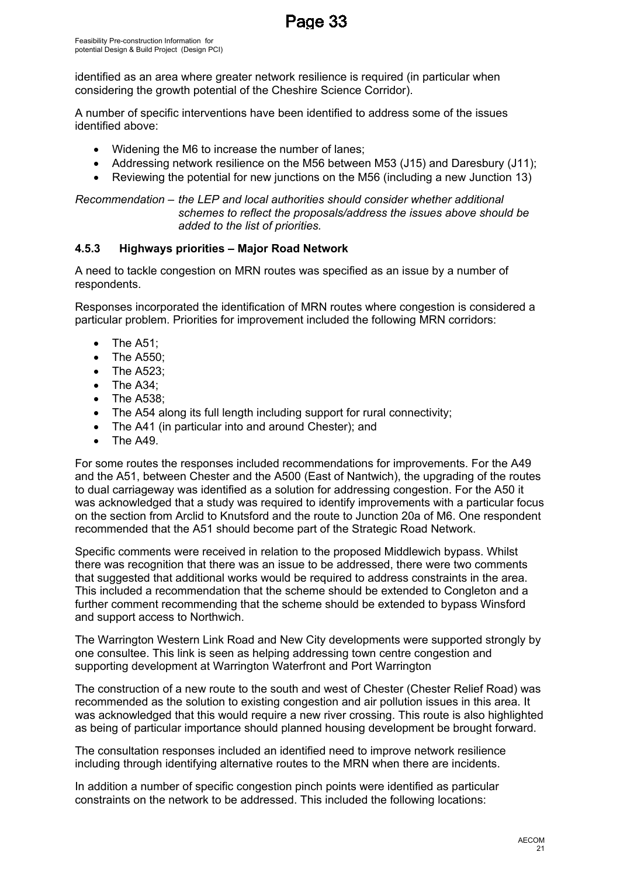identified as an area where greater network resilience is required (in particular when considering the growth potential of the Cheshire Science Corridor).

A number of specific interventions have been identified to address some of the issues identified above:

- Widening the M6 to increase the number of lanes;
- Addressing network resilience on the M56 between M53 (J15) and Daresbury (J11);
- Reviewing the potential for new junctions on the M56 (including a new Junction 13)

*Recommendation – the LEP and local authorities should consider whether additional schemes to reflect the proposals/address the issues above should be added to the list of priorities.*

#### **4.5.3 Highways priorities – Major Road Network**

A need to tackle congestion on MRN routes was specified as an issue by a number of respondents.

Responses incorporated the identification of MRN routes where congestion is considered a particular problem. Priorities for improvement included the following MRN corridors:

- $\bullet$  The A51;
- The A550:
- $\bullet$  The A523:
- The A34:
- The A538:
- The A54 along its full length including support for rural connectivity;
- The A41 (in particular into and around Chester); and
- $\bullet$  The A49

For some routes the responses included recommendations for improvements. For the A49 and the A51, between Chester and the A500 (East of Nantwich), the upgrading of the routes to dual carriageway was identified as a solution for addressing congestion. For the A50 it was acknowledged that a study was required to identify improvements with a particular focus on the section from Arclid to Knutsford and the route to Junction 20a of M6. One respondent recommended that the A51 should become part of the Strategic Road Network.

Specific comments were received in relation to the proposed Middlewich bypass. Whilst there was recognition that there was an issue to be addressed, there were two comments that suggested that additional works would be required to address constraints in the area. This included a recommendation that the scheme should be extended to Congleton and a further comment recommending that the scheme should be extended to bypass Winsford and support access to Northwich.

The Warrington Western Link Road and New City developments were supported strongly by one consultee. This link is seen as helping addressing town centre congestion and supporting development at Warrington Waterfront and Port Warrington

The construction of a new route to the south and west of Chester (Chester Relief Road) was recommended as the solution to existing congestion and air pollution issues in this area. It was acknowledged that this would require a new river crossing. This route is also highlighted as being of particular importance should planned housing development be brought forward.

The consultation responses included an identified need to improve network resilience including through identifying alternative routes to the MRN when there are incidents.

In addition a number of specific congestion pinch points were identified as particular constraints on the network to be addressed. This included the following locations: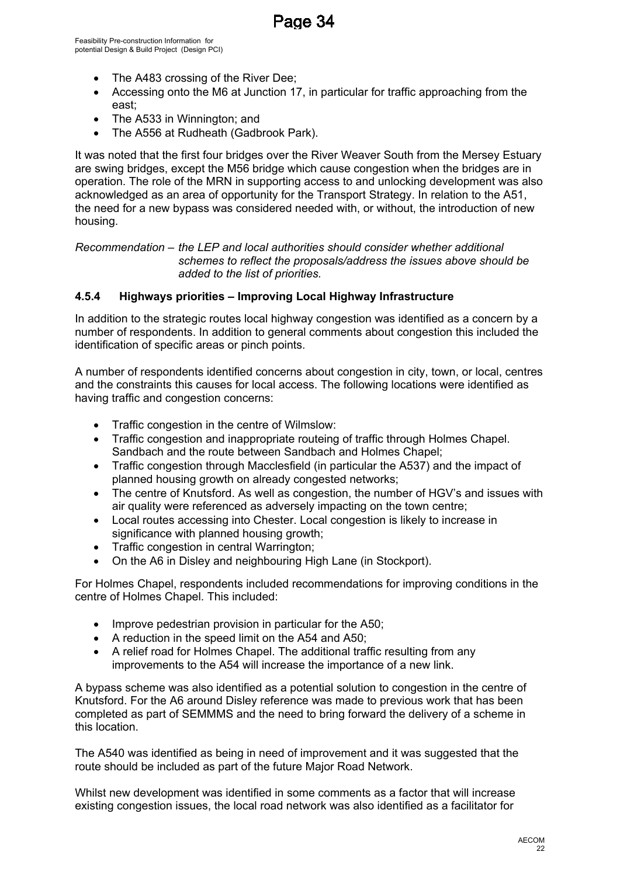- The A483 crossing of the River Dee;
- Accessing onto the M6 at Junction 17, in particular for traffic approaching from the east;
- The A533 in Winnington; and
- The A556 at Rudheath (Gadbrook Park).

It was noted that the first four bridges over the River Weaver South from the Mersey Estuary are swing bridges, except the M56 bridge which cause congestion when the bridges are in operation. The role of the MRN in supporting access to and unlocking development was also acknowledged as an area of opportunity for the Transport Strategy. In relation to the A51, the need for a new bypass was considered needed with, or without, the introduction of new housing.

*Recommendation – the LEP and local authorities should consider whether additional schemes to reflect the proposals/address the issues above should be added to the list of priorities.*

#### **4.5.4 Highways priorities – Improving Local Highway Infrastructure**

In addition to the strategic routes local highway congestion was identified as a concern by a number of respondents. In addition to general comments about congestion this included the identification of specific areas or pinch points.

A number of respondents identified concerns about congestion in city, town, or local, centres and the constraints this causes for local access. The following locations were identified as having traffic and congestion concerns:

- Traffic congestion in the centre of Wilmslow:
- Traffic congestion and inappropriate routeing of traffic through Holmes Chapel. Sandbach and the route between Sandbach and Holmes Chapel;
- Traffic congestion through Macclesfield (in particular the A537) and the impact of planned housing growth on already congested networks;
- The centre of Knutsford. As well as congestion, the number of HGV's and issues with air quality were referenced as adversely impacting on the town centre;
- Local routes accessing into Chester. Local congestion is likely to increase in significance with planned housing growth;
- Traffic congestion in central Warrington;
- On the A6 in Disley and neighbouring High Lane (in Stockport).

For Holmes Chapel, respondents included recommendations for improving conditions in the centre of Holmes Chapel. This included:

- Improve pedestrian provision in particular for the A50;
- A reduction in the speed limit on the A54 and A50;
- A relief road for Holmes Chapel. The additional traffic resulting from any improvements to the A54 will increase the importance of a new link.

A bypass scheme was also identified as a potential solution to congestion in the centre of Knutsford. For the A6 around Disley reference was made to previous work that has been completed as part of SEMMMS and the need to bring forward the delivery of a scheme in this location.

The A540 was identified as being in need of improvement and it was suggested that the route should be included as part of the future Major Road Network.

Whilst new development was identified in some comments as a factor that will increase existing congestion issues, the local road network was also identified as a facilitator for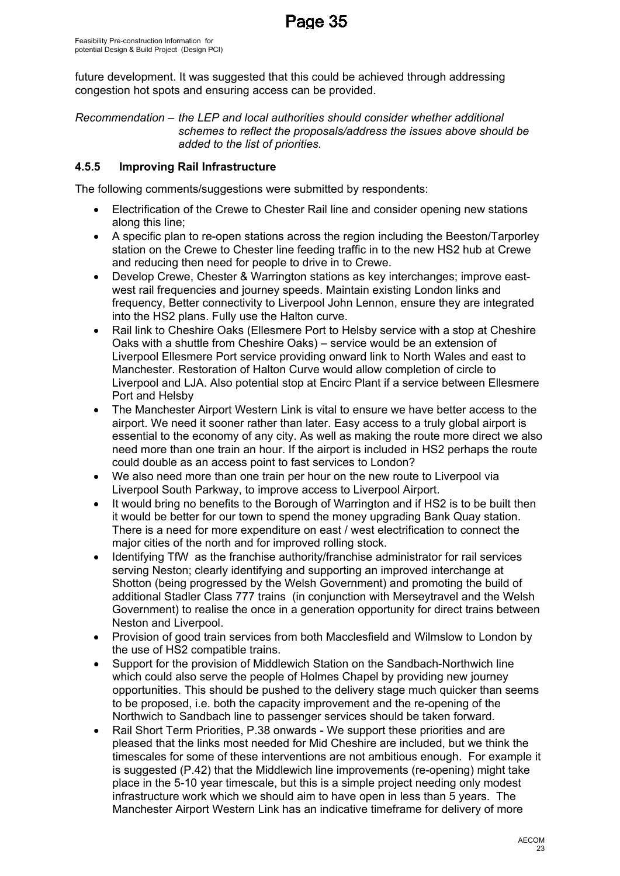future development. It was suggested that this could be achieved through addressing congestion hot spots and ensuring access can be provided.

*Recommendation – the LEP and local authorities should consider whether additional schemes to reflect the proposals/address the issues above should be added to the list of priorities.*

#### **4.5.5 Improving Rail Infrastructure**

The following comments/suggestions were submitted by respondents:

- Electrification of the Crewe to Chester Rail line and consider opening new stations along this line;
- A specific plan to re-open stations across the region including the Beeston/Tarporley station on the Crewe to Chester line feeding traffic in to the new HS2 hub at Crewe and reducing then need for people to drive in to Crewe.
- Develop Crewe, Chester & Warrington stations as key interchanges; improve eastwest rail frequencies and journey speeds. Maintain existing London links and frequency, Better connectivity to Liverpool John Lennon, ensure they are integrated into the HS2 plans. Fully use the Halton curve.
- Rail link to Cheshire Oaks (Ellesmere Port to Helsby service with a stop at Cheshire Oaks with a shuttle from Cheshire Oaks) – service would be an extension of Liverpool Ellesmere Port service providing onward link to North Wales and east to Manchester. Restoration of Halton Curve would allow completion of circle to Liverpool and LJA. Also potential stop at Encirc Plant if a service between Ellesmere Port and Helsby
- The Manchester Airport Western Link is vital to ensure we have better access to the airport. We need it sooner rather than later. Easy access to a truly global airport is essential to the economy of any city. As well as making the route more direct we also need more than one train an hour. If the airport is included in HS2 perhaps the route could double as an access point to fast services to London?
- We also need more than one train per hour on the new route to Liverpool via Liverpool South Parkway, to improve access to Liverpool Airport.
- It would bring no benefits to the Borough of Warrington and if HS2 is to be built then it would be better for our town to spend the money upgrading Bank Quay station. There is a need for more expenditure on east / west electrification to connect the major cities of the north and for improved rolling stock.
- Identifying TfW as the franchise authority/franchise administrator for rail services serving Neston; clearly identifying and supporting an improved interchange at Shotton (being progressed by the Welsh Government) and promoting the build of additional Stadler Class 777 trains (in conjunction with Merseytravel and the Welsh Government) to realise the once in a generation opportunity for direct trains between Neston and Liverpool.
- Provision of good train services from both Macclesfield and Wilmslow to London by the use of HS2 compatible trains.
- Support for the provision of Middlewich Station on the Sandbach-Northwich line which could also serve the people of Holmes Chapel by providing new journey opportunities. This should be pushed to the delivery stage much quicker than seems to be proposed, i.e. both the capacity improvement and the re-opening of the Northwich to Sandbach line to passenger services should be taken forward.
- Rail Short Term Priorities, P.38 onwards We support these priorities and are pleased that the links most needed for Mid Cheshire are included, but we think the timescales for some of these interventions are not ambitious enough. For example it is suggested (P.42) that the Middlewich line improvements (re-opening) might take place in the 5-10 year timescale, but this is a simple project needing only modest infrastructure work which we should aim to have open in less than 5 years. The Manchester Airport Western Link has an indicative timeframe for delivery of more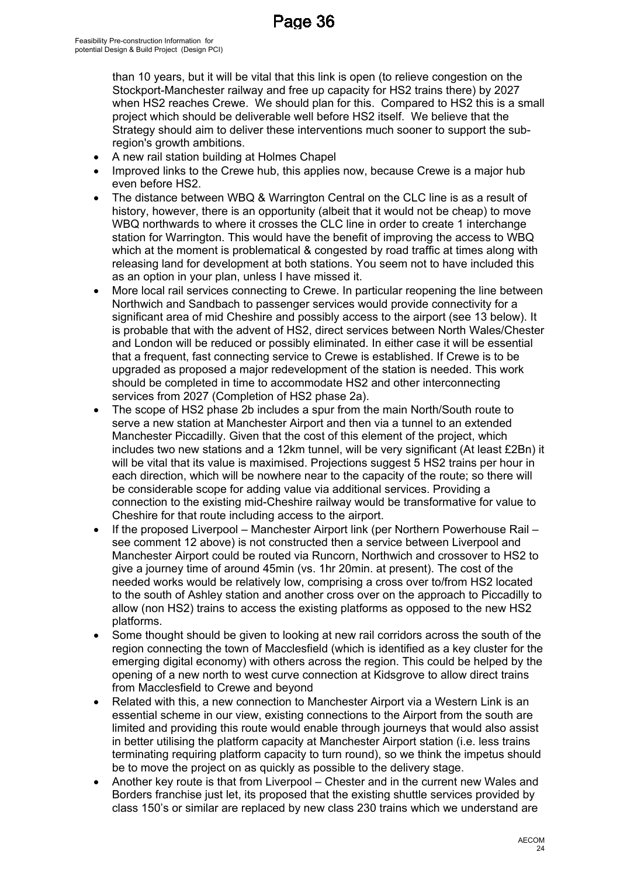than 10 years, but it will be vital that this link is open (to relieve congestion on the Stockport-Manchester railway and free up capacity for HS2 trains there) by 2027 when HS2 reaches Crewe. We should plan for this. Compared to HS2 this is a small project which should be deliverable well before HS2 itself. We believe that the Strategy should aim to deliver these interventions much sooner to support the subregion's growth ambitions.

- A new rail station building at Holmes Chapel
- Improved links to the Crewe hub, this applies now, because Crewe is a major hub even before HS2.
- The distance between WBQ & Warrington Central on the CLC line is as a result of history, however, there is an opportunity (albeit that it would not be cheap) to move WBQ northwards to where it crosses the CLC line in order to create 1 interchange station for Warrington. This would have the benefit of improving the access to WBQ which at the moment is problematical & congested by road traffic at times along with releasing land for development at both stations. You seem not to have included this as an option in your plan, unless I have missed it.
- More local rail services connecting to Crewe. In particular reopening the line between Northwich and Sandbach to passenger services would provide connectivity for a significant area of mid Cheshire and possibly access to the airport (see 13 below). It is probable that with the advent of HS2, direct services between North Wales/Chester and London will be reduced or possibly eliminated. In either case it will be essential that a frequent, fast connecting service to Crewe is established. If Crewe is to be upgraded as proposed a major redevelopment of the station is needed. This work should be completed in time to accommodate HS2 and other interconnecting services from 2027 (Completion of HS2 phase 2a).
- The scope of HS2 phase 2b includes a spur from the main North/South route to serve a new station at Manchester Airport and then via a tunnel to an extended Manchester Piccadilly. Given that the cost of this element of the project, which includes two new stations and a 12km tunnel, will be very significant (At least £2Bn) it will be vital that its value is maximised. Projections suggest 5 HS2 trains per hour in each direction, which will be nowhere near to the capacity of the route; so there will be considerable scope for adding value via additional services. Providing a connection to the existing mid-Cheshire railway would be transformative for value to Cheshire for that route including access to the airport.
- If the proposed Liverpool Manchester Airport link (per Northern Powerhouse Rail see comment 12 above) is not constructed then a service between Liverpool and Manchester Airport could be routed via Runcorn, Northwich and crossover to HS2 to give a journey time of around 45min (vs. 1hr 20min. at present). The cost of the needed works would be relatively low, comprising a cross over to/from HS2 located to the south of Ashley station and another cross over on the approach to Piccadilly to allow (non HS2) trains to access the existing platforms as opposed to the new HS2 platforms.
- Some thought should be given to looking at new rail corridors across the south of the region connecting the town of Macclesfield (which is identified as a key cluster for the emerging digital economy) with others across the region. This could be helped by the opening of a new north to west curve connection at Kidsgrove to allow direct trains from Macclesfield to Crewe and beyond
- Related with this, a new connection to Manchester Airport via a Western Link is an essential scheme in our view, existing connections to the Airport from the south are limited and providing this route would enable through journeys that would also assist in better utilising the platform capacity at Manchester Airport station (i.e. less trains terminating requiring platform capacity to turn round), so we think the impetus should be to move the project on as quickly as possible to the delivery stage.
- Another key route is that from Liverpool Chester and in the current new Wales and Borders franchise just let, its proposed that the existing shuttle services provided by class 150's or similar are replaced by new class 230 trains which we understand are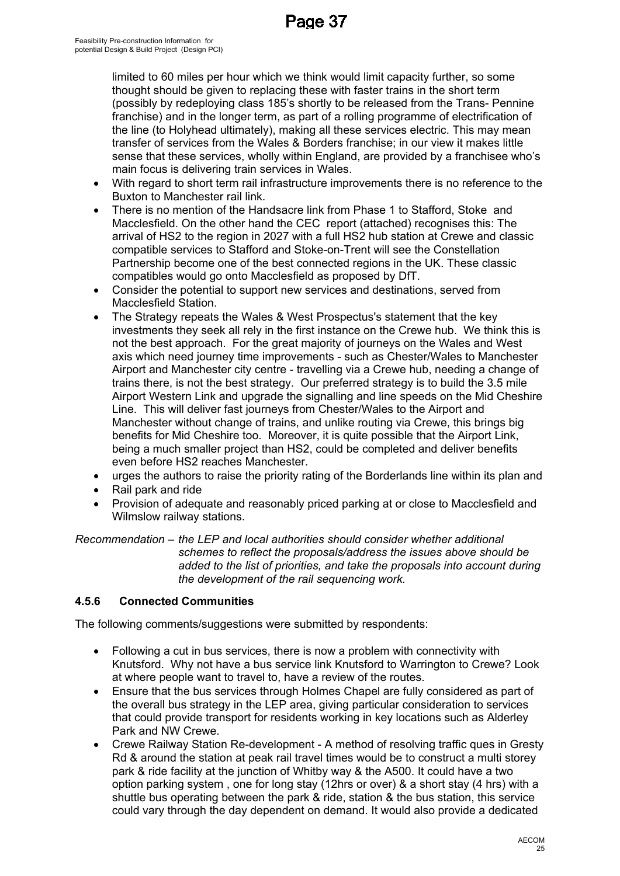limited to 60 miles per hour which we think would limit capacity further, so some thought should be given to replacing these with faster trains in the short term (possibly by redeploying class 185's shortly to be released from the Trans- Pennine franchise) and in the longer term, as part of a rolling programme of electrification of the line (to Holyhead ultimately), making all these services electric. This may mean transfer of services from the Wales & Borders franchise; in our view it makes little sense that these services, wholly within England, are provided by a franchisee who's main focus is delivering train services in Wales.

- With regard to short term rail infrastructure improvements there is no reference to the Buxton to Manchester rail link.
- There is no mention of the Handsacre link from Phase 1 to Stafford, Stoke and Macclesfield. On the other hand the CEC report (attached) recognises this: The arrival of HS2 to the region in 2027 with a full HS2 hub station at Crewe and classic compatible services to Stafford and Stoke-on-Trent will see the Constellation Partnership become one of the best connected regions in the UK. These classic compatibles would go onto Macclesfield as proposed by DfT.
- Consider the potential to support new services and destinations, served from Macclesfield Station.
- The Strategy repeats the Wales & West Prospectus's statement that the key investments they seek all rely in the first instance on the Crewe hub. We think this is not the best approach. For the great majority of journeys on the Wales and West axis which need journey time improvements - such as Chester/Wales to Manchester Airport and Manchester city centre - travelling via a Crewe hub, needing a change of trains there, is not the best strategy. Our preferred strategy is to build the 3.5 mile Airport Western Link and upgrade the signalling and line speeds on the Mid Cheshire Line. This will deliver fast journeys from Chester/Wales to the Airport and Manchester without change of trains, and unlike routing via Crewe, this brings big benefits for Mid Cheshire too. Moreover, it is quite possible that the Airport Link, being a much smaller project than HS2, could be completed and deliver benefits even before HS2 reaches Manchester.
- urges the authors to raise the priority rating of the Borderlands line within its plan and
- Rail park and ride
- Provision of adequate and reasonably priced parking at or close to Macclesfield and Wilmslow railway stations.

*Recommendation – the LEP and local authorities should consider whether additional schemes to reflect the proposals/address the issues above should be added to the list of priorities, and take the proposals into account during the development of the rail sequencing work.*

#### **4.5.6 Connected Communities**

The following comments/suggestions were submitted by respondents:

- Following a cut in bus services, there is now a problem with connectivity with Knutsford. Why not have a bus service link Knutsford to Warrington to Crewe? Look at where people want to travel to, have a review of the routes.
- Ensure that the bus services through Holmes Chapel are fully considered as part of the overall bus strategy in the LEP area, giving particular consideration to services that could provide transport for residents working in key locations such as Alderley Park and NW Crewe.
- Crewe Railway Station Re-development A method of resolving traffic ques in Gresty Rd & around the station at peak rail travel times would be to construct a multi storey park & ride facility at the junction of Whitby way & the A500. It could have a two option parking system , one for long stay (12hrs or over) & a short stay (4 hrs) with a shuttle bus operating between the park & ride, station & the bus station, this service could vary through the day dependent on demand. It would also provide a dedicated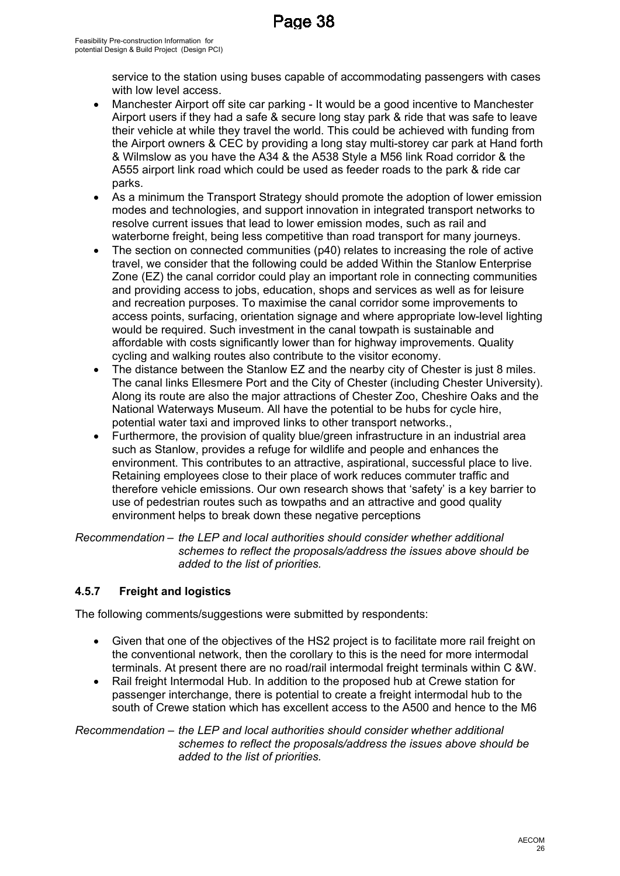service to the station using buses capable of accommodating passengers with cases with low level access.

- Manchester Airport off site car parking It would be a good incentive to Manchester Airport users if they had a safe & secure long stay park & ride that was safe to leave their vehicle at while they travel the world. This could be achieved with funding from the Airport owners & CEC by providing a long stay multi-storey car park at Hand forth & Wilmslow as you have the A34 & the A538 Style a M56 link Road corridor & the A555 airport link road which could be used as feeder roads to the park & ride car parks.
- As a minimum the Transport Strategy should promote the adoption of lower emission modes and technologies, and support innovation in integrated transport networks to resolve current issues that lead to lower emission modes, such as rail and waterborne freight, being less competitive than road transport for many journeys.
- The section on connected communities (p40) relates to increasing the role of active travel, we consider that the following could be added Within the Stanlow Enterprise Zone (EZ) the canal corridor could play an important role in connecting communities and providing access to jobs, education, shops and services as well as for leisure and recreation purposes. To maximise the canal corridor some improvements to access points, surfacing, orientation signage and where appropriate low-level lighting would be required. Such investment in the canal towpath is sustainable and affordable with costs significantly lower than for highway improvements. Quality cycling and walking routes also contribute to the visitor economy.
- The distance between the Stanlow EZ and the nearby city of Chester is just 8 miles. The canal links Ellesmere Port and the City of Chester (including Chester University). Along its route are also the major attractions of Chester Zoo, Cheshire Oaks and the National Waterways Museum. All have the potential to be hubs for cycle hire, potential water taxi and improved links to other transport networks.,
- Furthermore, the provision of quality blue/green infrastructure in an industrial area such as Stanlow, provides a refuge for wildlife and people and enhances the environment. This contributes to an attractive, aspirational, successful place to live. Retaining employees close to their place of work reduces commuter traffic and therefore vehicle emissions. Our own research shows that 'safety' is a key barrier to use of pedestrian routes such as towpaths and an attractive and good quality environment helps to break down these negative perceptions

*Recommendation – the LEP and local authorities should consider whether additional schemes to reflect the proposals/address the issues above should be added to the list of priorities.*

#### **4.5.7 Freight and logistics**

The following comments/suggestions were submitted by respondents:

- Given that one of the objectives of the HS2 project is to facilitate more rail freight on the conventional network, then the corollary to this is the need for more intermodal terminals. At present there are no road/rail intermodal freight terminals within C &W.
- Rail freight Intermodal Hub. In addition to the proposed hub at Crewe station for passenger interchange, there is potential to create a freight intermodal hub to the south of Crewe station which has excellent access to the A500 and hence to the M6

*Recommendation – the LEP and local authorities should consider whether additional schemes to reflect the proposals/address the issues above should be added to the list of priorities.*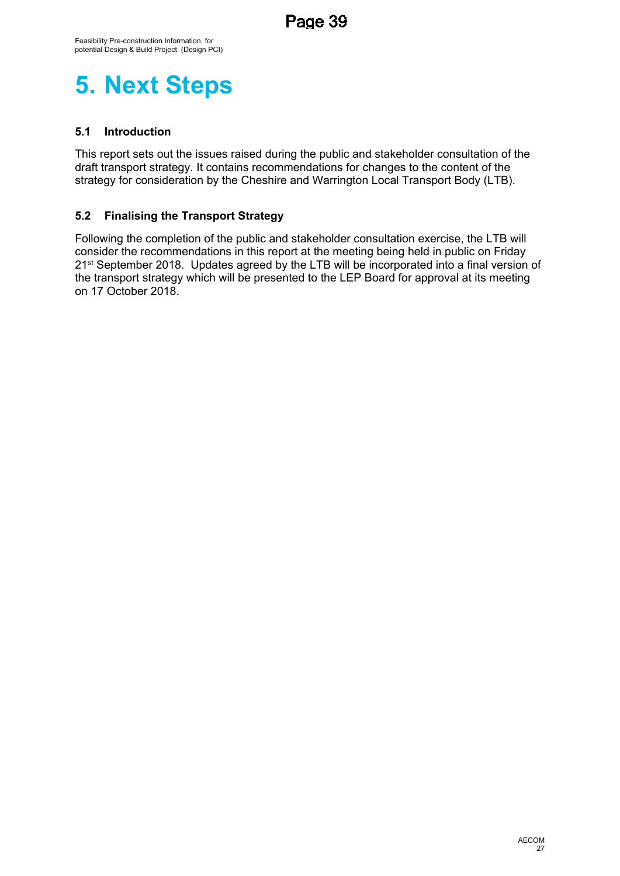<span id="page-38-0"></span>

#### **5.1 Introduction**

This report sets out the issues raised during the public and stakeholder consultation of the draft transport strategy. It contains recommendations for changes to the content of the strategy for consideration by the Cheshire and Warrington Local Transport Body (LTB).

#### **5.2 Finalising the Transport Strategy**

Following the completion of the public and stakeholder consultation exercise, the LTB will consider the recommendations in this report at the meeting being held in public on Friday 21<sup>st</sup> September 2018. Updates agreed by the LTB will be incorporated into a final version of the transport strategy which will be presented to the LEP Board for approval at its meeting on 17 October 2018.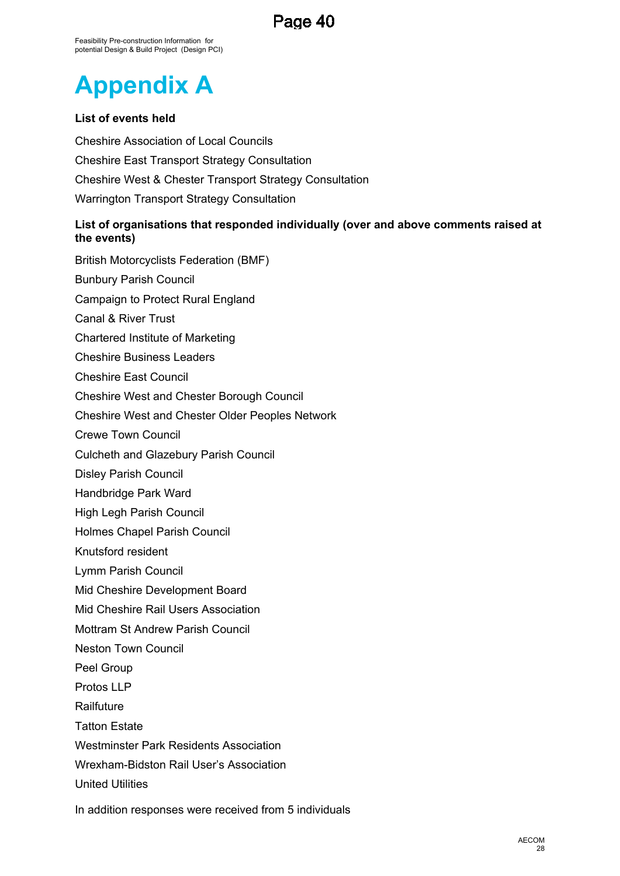### Page 40

Feasibility Pre-construction Information for potential Design & Build Project (Design PCI)

<span id="page-39-0"></span>

#### **List of events held**

Cheshire Association of Local Councils Cheshire East Transport Strategy Consultation Cheshire West & Chester Transport Strategy Consultation Warrington Transport Strategy Consultation

#### **List of organisations that responded individually (over and above comments raised at the events)**

British Motorcyclists Federation (BMF) Bunbury Parish Council Campaign to Protect Rural England Canal & River Trust Chartered Institute of Marketing Cheshire Business Leaders Cheshire East Council Cheshire West and Chester Borough Council Cheshire West and Chester Older Peoples Network Crewe Town Council Culcheth and Glazebury Parish Council Disley Parish Council Handbridge Park Ward High Legh Parish Council Holmes Chapel Parish Council Knutsford resident Lymm Parish Council Mid Cheshire Development Board Mid Cheshire Rail Users Association Mottram St Andrew Parish Council Neston Town Council Peel Group Protos LLP **Railfuture** Tatton Estate Westminster Park Residents Association Wrexham-Bidston Rail User's Association United Utilities

In addition responses were received from 5 individuals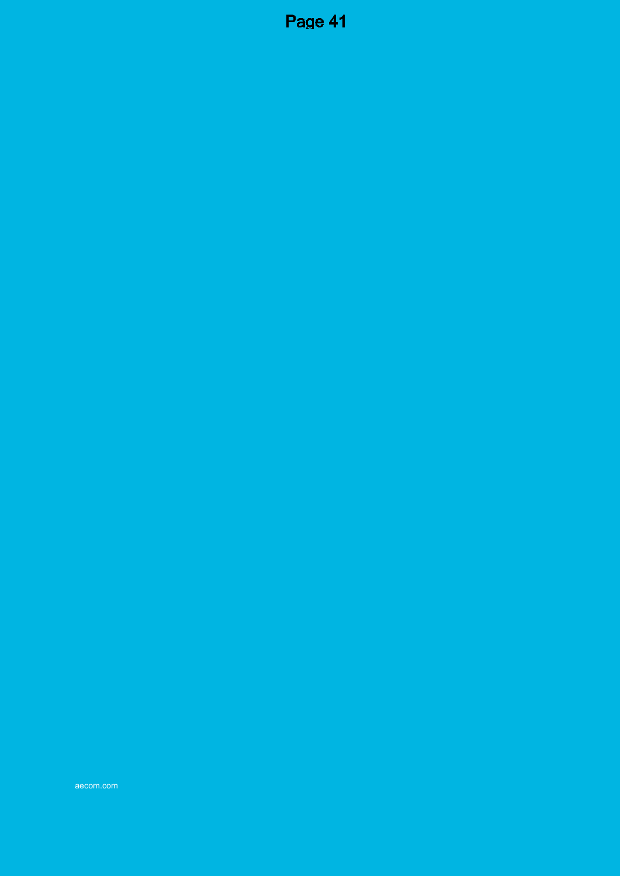## Page 41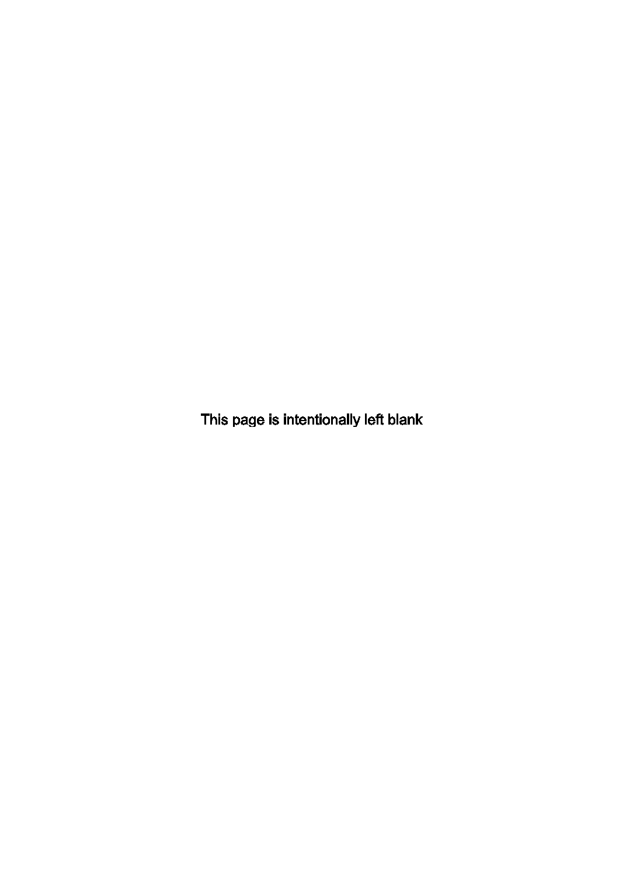This page is intentionally left blank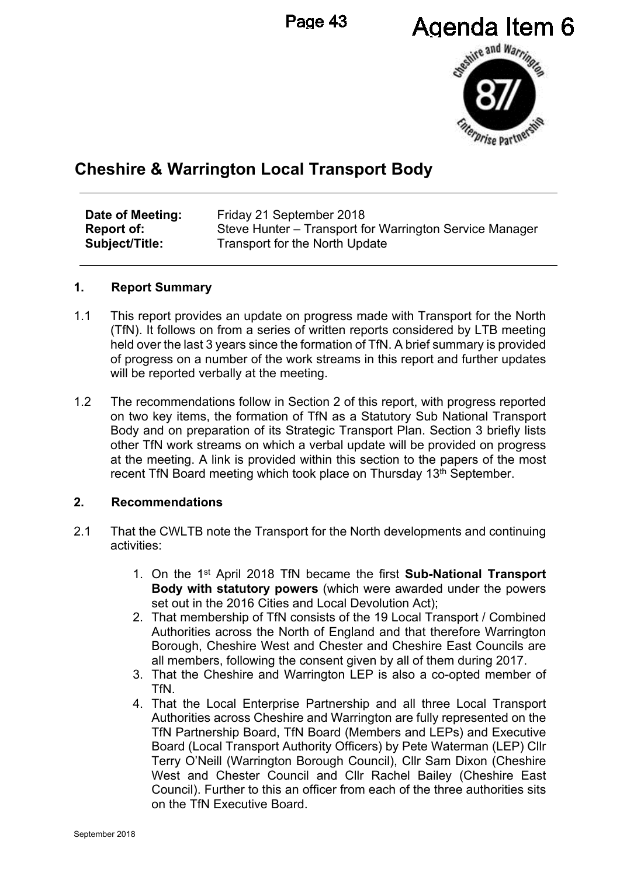## Agenda Item 6



### **Cheshire & Warrington Local Transport Body**

| Date of Meeting:      | Friday 21 September 2018                                |
|-----------------------|---------------------------------------------------------|
| Report of:            | Steve Hunter – Transport for Warrington Service Manager |
| <b>Subject/Title:</b> | Transport for the North Update                          |

#### **1. Report Summary**

- 1.1 This report provides an update on progress made with Transport for the North (TfN). It follows on from a series of written reports considered by LTB meeting held over the last 3 years since the formation of TfN. A brief summary is provided of progress on a number of the work streams in this report and further updates will be reported verbally at the meeting.
- 1.2 The recommendations follow in Section 2 of this report, with progress reported on two key items, the formation of TfN as a Statutory Sub National Transport Body and on preparation of its Strategic Transport Plan. Section 3 briefly lists other TfN work streams on which a verbal update will be provided on progress at the meeting. A link is provided within this section to the papers of the most recent TfN Board meeting which took place on Thursday 13<sup>th</sup> September.

#### **2. Recommendations**

- 2.1 That the CWLTB note the Transport for the North developments and continuing activities:
	- 1. On the 1 st April 2018 TfN became the first **Sub-National Transport Body with statutory powers** (which were awarded under the powers set out in the 2016 Cities and Local Devolution Act);
	- 2. That membership of TfN consists of the 19 Local Transport / Combined Authorities across the North of England and that therefore Warrington Borough, Cheshire West and Chester and Cheshire East Councils are all members, following the consent given by all of them during 2017.
	- 3. That the Cheshire and Warrington LEP is also a co-opted member of TfN.
	- 4. That the Local Enterprise Partnership and all three Local Transport Authorities across Cheshire and Warrington are fully represented on the TfN Partnership Board, TfN Board (Members and LEPs) and Executive Board (Local Transport Authority Officers) by Pete Waterman (LEP) Cllr Terry O'Neill (Warrington Borough Council), Cllr Sam Dixon (Cheshire West and Chester Council and Cllr Rachel Bailey (Cheshire East Council). Further to this an officer from each of the three authorities sits on the TfN Executive Board.